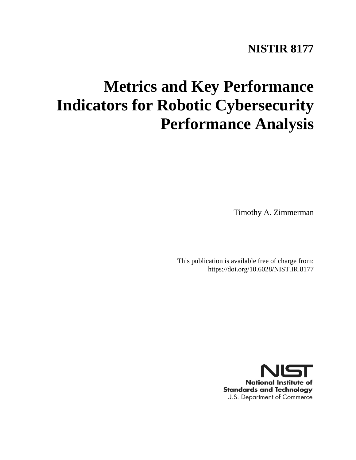# **NISTIR 8177**

# **Metrics and Key Performance Indicators for Robotic Cybersecurity Performance Analysis**

Timothy A. Zimmerman

This publication is available free of charge from: https://doi.org/10.6028/NIST.IR.8177

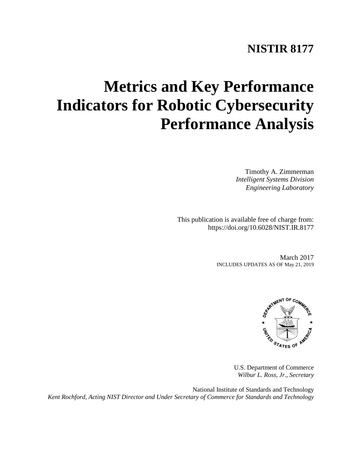# **NISTIR 8177**

# **Metrics and Key Performance Indicators for Robotic Cybersecurity Performance Analysis**

Timothy A. Zimmerman *Intelligent Systems Division Engineering Laboratory*

This publication is available free of charge from: https://doi.org/10.6028/NIST.IR.8177

> March 2017 INCLUDES UPDATES AS OF May 21, 2019



U.S. Department of Commerce *Wilbur L. Ross, Jr., Secretary*

National Institute of Standards and Technology *Kent Rochford, Acting NIST Director and Under Secretary of Commerce for Standards and Technology*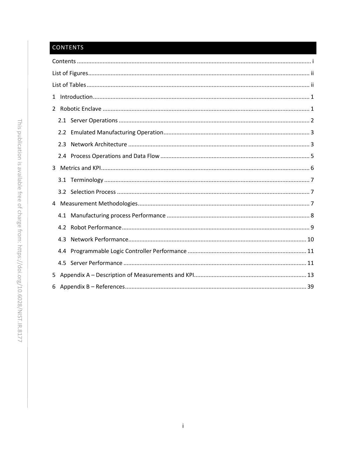## <span id="page-2-0"></span>CONTENTS

| 2.3 |
|-----|
|     |
|     |
|     |
|     |
|     |
|     |
|     |
| 4.3 |
|     |
|     |
|     |
| 6   |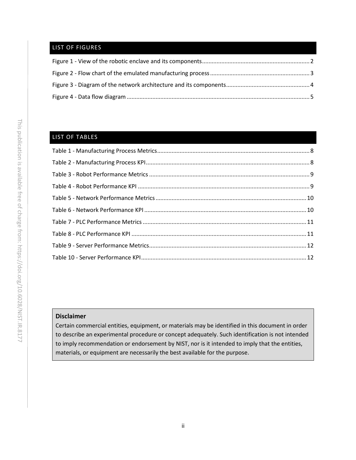### <span id="page-3-0"></span>LIST OF FIGURES

### <span id="page-3-1"></span>LIST OF TABLES

#### **Disclaimer**

Certain commercial entities, equipment, or materials may be identified in this document in order to describe an experimental procedure or concept adequately. Such identification is not intended to imply recommendation or endorsement by NIST, nor is it intended to imply that the entities, materials, or equipment are necessarily the best available for the purpose.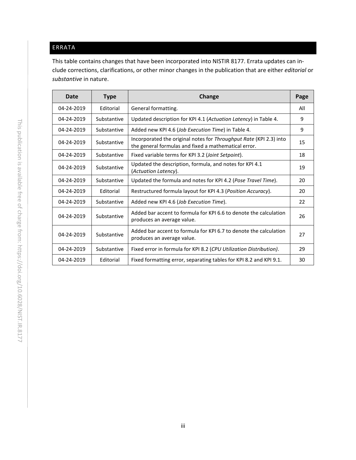## ERRATA

This table contains changes that have been incorporated into NISTIR 8177. Errata updates can include corrections, clarifications, or other minor changes in the publication that are either *editorial* or *substantive* in nature.

| <b>Date</b>                                                                                                                  | <b>Type</b> | Change                                                                                                                     | Page |
|------------------------------------------------------------------------------------------------------------------------------|-------------|----------------------------------------------------------------------------------------------------------------------------|------|
| 04-24-2019                                                                                                                   | Editorial   | General formatting.                                                                                                        | All  |
| 04-24-2019                                                                                                                   | Substantive | Updated description for KPI 4.1 (Actuation Latency) in Table 4.                                                            | 9    |
| 04-24-2019                                                                                                                   | Substantive | Added new KPI 4.6 (Job Execution Time) in Table 4.                                                                         | 9    |
| 04-24-2019                                                                                                                   | Substantive | Incorporated the original notes for Throughput Rate (KPI 2.3) into<br>the general formulas and fixed a mathematical error. | 15   |
| 04-24-2019                                                                                                                   | Substantive | Fixed variable terms for KPI 3.2 (Joint Setpoint).                                                                         | 18   |
| Updated the description, formula, and notes for KPI 4.1<br>04-24-2019<br>Substantive<br>(Actuation Latency).                 |             | 19                                                                                                                         |      |
| Updated the formula and notes for KPI 4.2 (Pose Travel Time).<br>04-24-2019<br>Substantive                                   |             | 20                                                                                                                         |      |
| Restructured formula layout for KPI 4.3 (Position Accuracy).<br>04-24-2019<br>Editorial                                      |             | 20                                                                                                                         |      |
| 04-24-2019<br>Substantive<br>Added new KPI 4.6 (Job Execution Time).                                                         |             | 22                                                                                                                         |      |
| Added bar accent to formula for KPI 6.6 to denote the calculation<br>Substantive<br>04-24-2019<br>produces an average value. |             | 26                                                                                                                         |      |
| 04-24-2019                                                                                                                   | Substantive | Added bar accent to formula for KPI 6.7 to denote the calculation<br>produces an average value.                            | 27   |
| 04-24-2019                                                                                                                   | Substantive | Fixed error in formula for KPI 8.2 (CPU Utilization Distribution).                                                         | 29   |
| Fixed formatting error, separating tables for KPI 8.2 and KPI 9.1.<br>04-24-2019<br>Editorial                                |             | 30                                                                                                                         |      |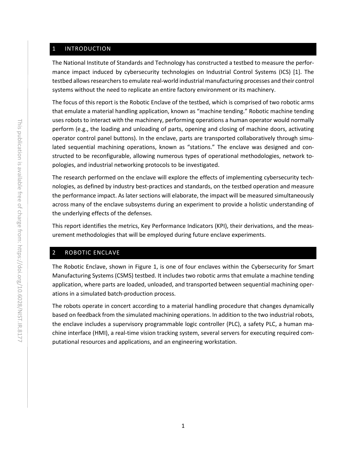#### <span id="page-5-0"></span>1 INTRODUCTION

The National Institute of Standards and Technology has constructed a testbed to measure the performance impact induced by cybersecurity technologies on Industrial Control Systems (ICS) [1]. The testbed allows researchers to emulate real-world industrial manufacturing processes and their control systems without the need to replicate an entire factory environment or its machinery.

The focus of this report is the Robotic Enclave of the testbed, which is comprised of two robotic arms that emulate a material handling application, known as "machine tending." Robotic machine tending uses robots to interact with the machinery, performing operations a human operator would normally perform (e.g., the loading and unloading of parts, opening and closing of machine doors, activating operator control panel buttons). In the enclave, parts are transported collaboratively through simulated sequential machining operations, known as "stations." The enclave was designed and constructed to be reconfigurable, allowing numerous types of operational methodologies, network topologies, and industrial networking protocols to be investigated.

The research performed on the enclave will explore the effects of implementing cybersecurity technologies, as defined by industry best-practices and standards, on the testbed operation and measure the performance impact. As later sections will elaborate, the impact will be measured simultaneously across many of the enclave subsystems during an experiment to provide a holistic understanding of the underlying effects of the defenses.

This report identifies the metrics, Key Performance Indicators (KPI), their derivations, and the measurement methodologies that will be employed during future enclave experiments.

#### <span id="page-5-1"></span>2 ROBOTIC ENCLAVE

The Robotic Enclave, shown in [Figure 1,](#page-6-1) is one of four enclaves within the Cybersecurity for Smart Manufacturing Systems (CSMS) testbed. It includes two robotic arms that emulate a machine tending application, where parts are loaded, unloaded, and transported between sequential machining operations in a simulated batch-production process.

The robots operate in concert according to a material handling procedure that changes dynamically based on feedback from the simulated machining operations. In addition to the two industrial robots, the enclave includes a supervisory programmable logic controller (PLC), a safety PLC, a human machine interface (HMI), a real-time vision tracking system, several servers for executing required computational resources and applications, and an engineering workstation.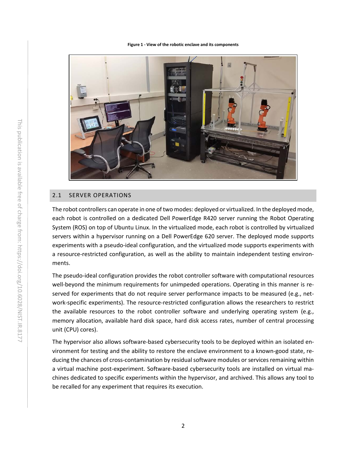<span id="page-6-1"></span>**Figure 1 - View of the robotic enclave and its components**



#### <span id="page-6-0"></span>2.1 SERVER OPERATIONS

The robot controllers can operate in one of two modes: deployed or virtualized. In the deployed mode, each robot is controlled on a dedicated Dell PowerEdge R420 server running the Robot Operating System (ROS) on top of Ubuntu Linux. In the virtualized mode, each robot is controlled by virtualized servers within a hypervisor running on a Dell PowerEdge 620 server. The deployed mode supports experiments with a pseudo-ideal configuration, and the virtualized mode supports experiments with a resource-restricted configuration, as well as the ability to maintain independent testing environments.

The pseudo-ideal configuration provides the robot controller software with computational resources well-beyond the minimum requirements for unimpeded operations. Operating in this manner is reserved for experiments that do not require server performance impacts to be measured (e.g., network-specific experiments). The resource-restricted configuration allows the researchers to restrict the available resources to the robot controller software and underlying operating system (e.g., memory allocation, available hard disk space, hard disk access rates, number of central processing unit (CPU) cores).

The hypervisor also allows software-based cybersecurity tools to be deployed within an isolated environment for testing and the ability to restore the enclave environment to a known-good state, reducing the chances of cross-contamination by residualsoftware modules or services remaining within a virtual machine post-experiment. Software-based cybersecurity tools are installed on virtual machines dedicated to specific experiments within the hypervisor, and archived. This allows any tool to be recalled for any experiment that requires its execution.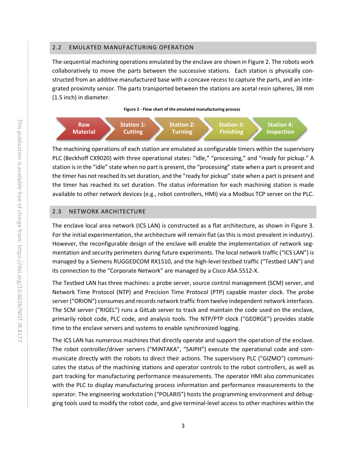#### <span id="page-7-0"></span>2.2 EMULATED MANUFACTURING OPERATION

The sequential machining operations emulated by the enclave are shown in [Figure 2.](#page-7-2) The robots work collaboratively to move the parts between the successive stations. Each station is physically constructed from an additive manufactured base with a concave recess to capture the parts, and an integrated proximity sensor. The parts transported between the stations are acetal resin spheres, 38 mm (1.5 inch) in diameter.



<span id="page-7-2"></span>

The machining operations of each station are emulated as configurable timers within the supervisory PLC (Beckhoff CX9020) with three operational states: "idle," "processing," and "ready for pickup." A station is in the "idle" state when no part is present, the "processing" state when a part is present and the timer has not reached its set duration, and the "ready for pickup" state when a part is present and the timer has reached its set duration. The status information for each machining station is made available to other network devices (e.g., robot controllers, HMI) via a Modbus TCP server on the PLC.

#### <span id="page-7-1"></span>2.3 NETWORK ARCHITECTURE

The enclave local area network (ICS LAN) is constructed as a flat architecture, as shown in [Figure 3.](#page-8-0) For the initial experimentation, the architecture will remain flat (as this is most prevalent in industry). However, the reconfigurable design of the enclave will enable the implementation of network segmentation and security perimeters during future experiments. The local network traffic ("ICS LAN") is managed by a Siemens RUGGEDCOM RX1510, and the high-level testbed traffic ("Testbed LAN") and its connection to the "Corporate Network" are managed by a Cisco ASA 5512-X.

The Testbed LAN has three machines: a probe server, source control management (SCM) server, and Network Time Protocol (NTP) and Precision Time Protocol (PTP) capable master clock. The probe server ("ORION") consumes and records network traffic from twelve independent network interfaces. The SCM server ("RIGEL") runs a GitLab server to track and maintain the code used on the enclave, primarily robot code, PLC code, and analysis tools. The NTP/PTP clock ("GEORGE") provides stable time to the enclave servers and systems to enable synchronized logging.

The ICS LAN has numerous machines that directly operate and support the operation of the enclave. The robot controller/driver servers ("MINTAKA", "SAIPH") execute the operational code and communicate directly with the robots to direct their actions. The supervisory PLC ("GIZMO") communicates the status of the machining stations and operator controls to the robot controllers, as well as part tracking for manufacturing performance measurements. The operator HMI also communicates with the PLC to display manufacturing process information and performance measurements to the operator. The engineering workstation ("POLARIS") hosts the programming environment and debugging tools used to modify the robot code, and give terminal-level access to other machines within the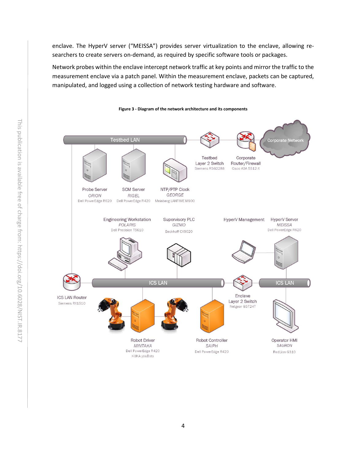enclave. The HyperV server ("MEISSA") provides server virtualization to the enclave, allowing researchers to create servers on-demand, as required by specific software tools or packages.

Network probes within the enclave intercept network traffic at key points and mirror the traffic to the measurement enclave via a patch panel. Within the measurement enclave, packets can be captured, manipulated, and logged using a collection of network testing hardware and software.

<span id="page-8-0"></span>

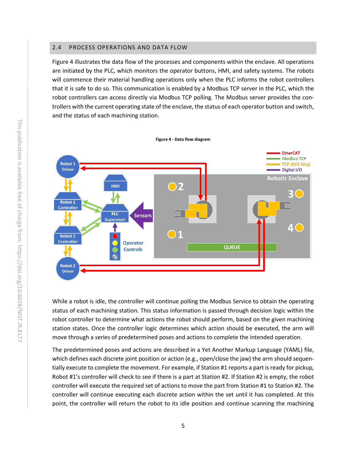#### <span id="page-9-0"></span>2.4 PROCESS OPERATIONS AND DATA FLOW

[Figure 4](#page-9-1) illustrates the data flow of the processes and components within the enclave. All operations are initiated by the PLC, which monitors the operator buttons, HMI, and safety systems. The robots will commence their material handling operations only when the PLC informs the robot controllers that it is safe to do so. This communication is enabled by a Modbus TCP server in the PLC, which the robot controllers can access directly via Modbus TCP polling. The Modbus server provides the controllers with the current operating state of the enclave, the status of each operator button and switch, and the status of each machining station.

<span id="page-9-1"></span>

While a robot is idle, the controller will continue polling the Modbus Service to obtain the operating status of each machining station. This status information is passed through decision logic within the robot controller to determine what actions the robot should perform, based on the given machining station states. Once the controller logic determines which action should be executed, the arm will move through a series of predetermined poses and actions to complete the intended operation.

The predetermined poses and actions are described in a Yet Another Markup Language (YAML) file, which defines each discrete joint position or action (e.g., open/close the jaw) the arm should sequentially execute to complete the movement. For example, if Station #1 reports a part is ready for pickup, Robot #1's controller will check to see if there is a part at Station #2. If Station #2 is empty, the robot controller will execute the required set of actions to move the part from Station #1 to Station #2. The controller will continue executing each discrete action within the set until it has completed. At this point, the controller will return the robot to its idle position and continue scanning the machining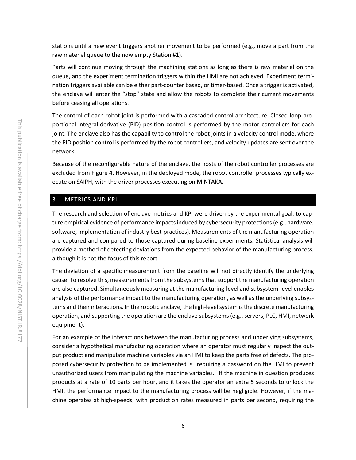stations until a new event triggers another movement to be performed (e.g., move a part from the raw material queue to the now empty Station #1).

Parts will continue moving through the machining stations as long as there is raw material on the queue, and the experiment termination triggers within the HMI are not achieved. Experiment termination triggers available can be either part-counter based, or timer-based. Once a trigger is activated, the enclave will enter the "stop" state and allow the robots to complete their current movements before ceasing all operations.

The control of each robot joint is performed with a cascaded control architecture. Closed-loop proportional-integral-derivative (PID) position control is performed by the motor controllers for each joint. The enclave also has the capability to control the robot joints in a velocity control mode, where the PID position control is performed by the robot controllers, and velocity updates are sent over the network.

Because of the reconfigurable nature of the enclave, the hosts of the robot controller processes are excluded from [Figure 4.](#page-9-1) However, in the deployed mode, the robot controller processes typically execute on SAIPH, with the driver processes executing on MINTAKA.

#### <span id="page-10-0"></span>3 METRICS AND KPI

The research and selection of enclave metrics and KPI were driven by the experimental goal: to capture empirical evidence of performance impacts induced by cybersecurity protections (e.g., hardware, software, implementation of industry best-practices). Measurements of the manufacturing operation are captured and compared to those captured during baseline experiments. Statistical analysis will provide a method of detecting deviations from the expected behavior of the manufacturing process, although it is not the focus of this report.

The deviation of a specific measurement from the baseline will not directly identify the underlying cause. To resolve this, measurements from the subsystems that support the manufacturing operation are also captured. Simultaneously measuring at the manufacturing-level and subsystem-level enables analysis of the performance impact to the manufacturing operation, as well as the underlying subsystems and their interactions. In the robotic enclave, the high-level system is the discrete manufacturing operation, and supporting the operation are the enclave subsystems (e.g., servers, PLC, HMI, network equipment).

For an example of the interactions between the manufacturing process and underlying subsystems, consider a hypothetical manufacturing operation where an operator must regularly inspect the output product and manipulate machine variables via an HMI to keep the parts free of defects. The proposed cybersecurity protection to be implemented is "requiring a password on the HMI to prevent unauthorized users from manipulating the machine variables." If the machine in question produces products at a rate of 10 parts per hour, and it takes the operator an extra 5 seconds to unlock the HMI, the performance impact to the manufacturing process will be negligible. However, if the machine operates at high-speeds, with production rates measured in parts per second, requiring the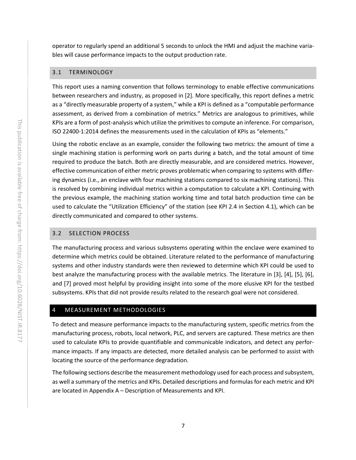operator to regularly spend an additional 5 seconds to unlock the HMI and adjust the machine variables will cause performance impacts to the output production rate.

#### <span id="page-11-0"></span>3.1 TERMINOLOGY

This report uses a naming convention that follows terminology to enable effective communications between researchers and industry, as proposed in [2]. More specifically, this report defines a metric as a "directly measurable property of a system," while a KPI is defined as a "computable performance assessment, as derived from a combination of metrics." Metrics are analogous to primitives, while KPIs are a form of post-analysis which utilize the primitives to compute an inference. For comparison, ISO 22400-1:2014 defines the measurements used in the calculation of KPIs as "elements."

Using the robotic enclave as an example, consider the following two metrics: the amount of time a single machining station is performing work on parts during a batch, and the total amount of time required to produce the batch. Both are directly measurable, and are considered metrics. However, effective communication of either metric proves problematic when comparing to systems with differing dynamics (i.e., an enclave with four machining stations compared to six machining stations). This is resolved by combining individual metrics within a computation to calculate a KPI. Continuing with the previous example, the machining station working time and total batch production time can be used to calculate the "Utilization Efficiency" of the station (see KPI 2.4 in Section [4.1\)](#page-12-0), which can be directly communicated and compared to other systems.

#### <span id="page-11-1"></span>3.2 SELECTION PROCESS

The manufacturing process and various subsystems operating within the enclave were examined to determine which metrics could be obtained. Literature related to the performance of manufacturing systems and other industry standards were then reviewed to determine which KPI could be used to best analyze the manufacturing process with the available metrics. The literature in [3], [4], [5], [6], and [7] proved most helpful by providing insight into some of the more elusive KPI for the testbed subsystems. KPIs that did not provide results related to the research goal were not considered.

#### <span id="page-11-2"></span>4 MEASUREMENT METHODOLOGIES

To detect and measure performance impacts to the manufacturing system, specific metrics from the manufacturing process, robots, local network, PLC, and servers are captured. These metrics are then used to calculate KPIs to provide quantifiable and communicable indicators, and detect any performance impacts. If any impacts are detected, more detailed analysis can be performed to assist with locating the source of the performance degradation.

The following sections describe the measurement methodology used for each process and subsystem, as well a summary of the metrics and KPIs. Detailed descriptions and formulas for each metric and KPI are located in Appendix A – [Description of Measurements and KPI.](#page-17-0)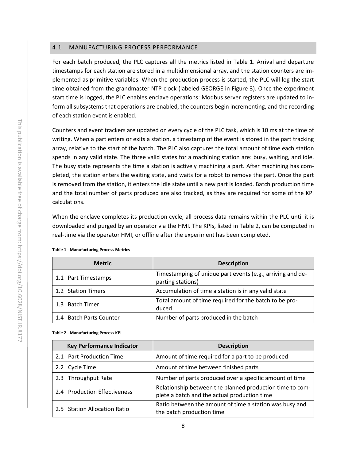#### <span id="page-12-0"></span>4.1 MANUFACTURING PROCESS PERFORMANCE

For each batch produced, the PLC captures all the metrics listed in [Table 1.](#page-12-1) Arrival and departure timestamps for each station are stored in a multidimensional array, and the station counters are implemented as primitive variables. When the production process is started, the PLC will log the start time obtained from the grandmaster NTP clock (labeled GEORGE in [Figure 3\)](#page-8-0). Once the experiment start time is logged, the PLC enables enclave operations: Modbus server registers are updated to inform all subsystems that operations are enabled, the counters begin incrementing, and the recording of each station event is enabled.

Counters and event trackers are updated on every cycle of the PLC task, which is 10 ms at the time of writing. When a part enters or exits a station, a timestamp of the event is stored in the part tracking array, relative to the start of the batch. The PLC also captures the total amount of time each station spends in any valid state. The three valid states for a machining station are: busy, waiting, and idle. The busy state represents the time a station is actively machining a part. After machining has completed, the station enters the waiting state, and waits for a robot to remove the part. Once the part is removed from the station, it enters the idle state until a new part is loaded. Batch production time and the total number of parts produced are also tracked, as they are required for some of the KPI calculations.

When the enclave completes its production cycle, all process data remains within the PLC until it is downloaded and purged by an operator via the HMI. The KPIs, listed in [Table 2,](#page-12-2) can be computed in real-time via the operator HMI, or offline after the experiment has been completed.

| <b>Metric</b>           | <b>Description</b>                                                              |
|-------------------------|---------------------------------------------------------------------------------|
| 1.1 Part Timestamps     | Timestamping of unique part events (e.g., arriving and de-<br>parting stations) |
| 1.2 Station Timers      | Accumulation of time a station is in any valid state                            |
| 1.3 Batch Timer         | Total amount of time required for the batch to be pro-<br>duced                 |
| 1.4 Batch Parts Counter | Number of parts produced in the batch                                           |

<span id="page-12-1"></span>**Table 1 - Manufacturing Process Metrics**

#### <span id="page-12-2"></span>**Table 2 - Manufacturing Process KPI**

| <b>Key Performance Indicator</b> | <b>Description</b>                                                                                       |
|----------------------------------|----------------------------------------------------------------------------------------------------------|
| 2.1 Part Production Time         | Amount of time required for a part to be produced                                                        |
| 2.2 Cycle Time                   | Amount of time between finished parts                                                                    |
| 2.3 Throughput Rate              | Number of parts produced over a specific amount of time                                                  |
| 2.4 Production Effectiveness     | Relationship between the planned production time to com-<br>plete a batch and the actual production time |
| 2.5 Station Allocation Ratio     | Ratio between the amount of time a station was busy and<br>the batch production time                     |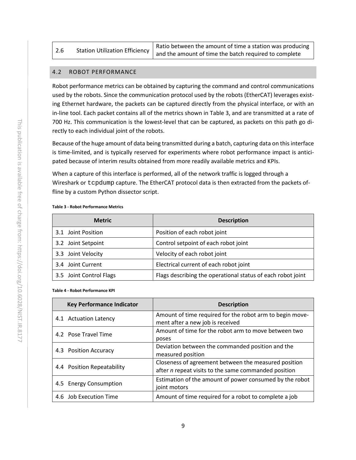|  | Ratio between the amount of time a station was producing                                     |
|--|----------------------------------------------------------------------------------------------|
|  | Station Utilization Efficiency $\vert$ and the amount of time the batch required to complete |

#### <span id="page-13-0"></span>4.2 ROBOT PERFORMANCE

Robot performance metrics can be obtained by capturing the command and control communications used by the robots. Since the communication protocol used by the robots (EtherCAT) leverages existing Ethernet hardware, the packets can be captured directly from the physical interface, or with an in-line tool. Each packet contains all of the metrics shown in [Table 3,](#page-13-1) and are transmitted at a rate of 700 Hz. This communication is the lowest-level that can be captured, as packets on this path go directly to each individual joint of the robots.

Because of the huge amount of data being transmitted during a batch, capturing data on this interface is time-limited, and is typically reserved for experiments where robot performance impact is anticipated because of interim results obtained from more readily available metrics and KPIs.

When a capture of this interface is performed, all of the network traffic is logged through a Wireshark or tcpdump capture. The EtherCAT protocol data is then extracted from the packets offline by a custom Python dissector script.

#### <span id="page-13-1"></span>**Table 3 - Robot Performance Metrics**

| <b>Metric</b>           | <b>Description</b>                                          |
|-------------------------|-------------------------------------------------------------|
| 3.1 Joint Position      | Position of each robot joint                                |
| 3.2 Joint Setpoint      | Control setpoint of each robot joint                        |
| 3.3 Joint Velocity      | Velocity of each robot joint                                |
| 3.4 Joint Current       | Electrical current of each robot joint                      |
| 3.5 Joint Control Flags | Flags describing the operational status of each robot joint |

#### <span id="page-13-2"></span>**Table 4 - Robot Performance KPI**

| <b>Key Performance Indicator</b> | <b>Description</b>                                                                                           |
|----------------------------------|--------------------------------------------------------------------------------------------------------------|
| 4.1 Actuation Latency            | Amount of time required for the robot arm to begin move-<br>ment after a new job is received                 |
| 4.2 Pose Travel Time             | Amount of time for the robot arm to move between two<br>poses                                                |
| 4.3 Position Accuracy            | Deviation between the commanded position and the<br>measured position                                        |
| 4.4 Position Repeatability       | Closeness of agreement between the measured position<br>after n repeat visits to the same commanded position |
| 4.5 Energy Consumption           | Estimation of the amount of power consumed by the robot<br>joint motors                                      |
| 4.6 Job Execution Time           | Amount of time required for a robot to complete a job                                                        |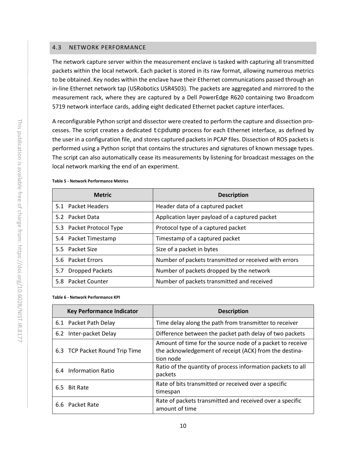#### <span id="page-14-0"></span>4.3 NETWORK PERFORMANCE

The network capture server within the measurement enclave is tasked with capturing all transmitted packets within the local network. Each packet is stored in its raw format, allowing numerous metrics to be obtained. Key nodes within the enclave have their Ethernet communications passed through an in-line Ethernet network tap (USRobotics USR4503). The packets are aggregated and mirrored to the measurement rack, where they are captured by a Dell PowerEdge R620 containing two Broadcom 5719 network interface cards, adding eight dedicated Ethernet packet capture interfaces.

A reconfigurable Python script and dissector were created to perform the capture and dissection processes. The script creates a dedicated tcpdump process for each Ethernet interface, as defined by the user in a configuration file, and stores captured packets in PCAP files. Dissection of ROS packets is performed using a Python script that contains the structures and signatures of known message types. The script can also automatically cease its measurements by listening for broadcast messages on the local network marking the end of an experiment.

|     | <b>Metric</b>            | <b>Description</b>                                    |
|-----|--------------------------|-------------------------------------------------------|
|     | 5.1 Packet Headers       | Header data of a captured packet                      |
|     | 5.2 Packet Data          | Application layer payload of a captured packet        |
|     | 5.3 Packet Protocol Type | Protocol type of a captured packet                    |
|     | 5.4 Packet Timestamp     | Timestamp of a captured packet                        |
|     | 5.5 Packet Size          | Size of a packet in bytes                             |
|     | 5.6 Packet Errors        | Number of packets transmitted or received with errors |
| 5.7 | <b>Dropped Packets</b>   | Number of packets dropped by the network              |
|     | 5.8 Packet Counter       | Number of packets transmitted and received            |

#### <span id="page-14-1"></span>**Table 5 - Network Performance Metrics**

<span id="page-14-2"></span>**Table 6 - Network Performance KPI**

|                        | <b>Key Performance Indicator</b> | <b>Description</b>                                                                                                               |
|------------------------|----------------------------------|----------------------------------------------------------------------------------------------------------------------------------|
| 6.1 Packet Path Delay  |                                  | Time delay along the path from transmitter to receiver                                                                           |
| 6.2                    | Inter-packet Delay               | Difference between the packet path delay of two packets                                                                          |
|                        | 6.3 TCP Packet Round Trip Time   | Amount of time for the source node of a packet to receive<br>the acknowledgement of receipt (ACK) from the destina-<br>tion node |
| 6.4                    | <b>Information Ratio</b>         | Ratio of the quantity of process information packets to all<br>packets                                                           |
| <b>Bit Rate</b><br>6.5 |                                  | Rate of bits transmitted or received over a specific<br>timespan                                                                 |
| 6.6 Packet Rate        |                                  | Rate of packets transmitted and received over a specific<br>amount of time                                                       |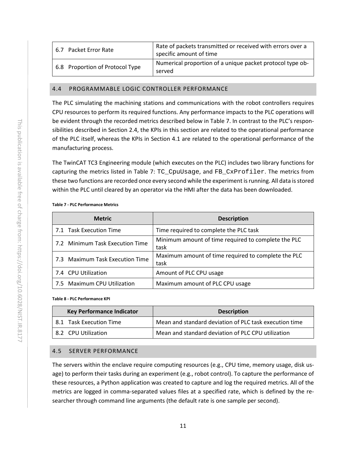| 6.7 Packet Error Rate           | Rate of packets transmitted or received with errors over a<br>specific amount of time |
|---------------------------------|---------------------------------------------------------------------------------------|
| 6.8 Proportion of Protocol Type | Numerical proportion of a unique packet protocol type ob-<br>served                   |

#### <span id="page-15-0"></span>4.4 PROGRAMMABLE LOGIC CONTROLLER PERFORMANCE

The PLC simulating the machining stations and communications with the robot controllers requires CPU resources to perform its required functions. Any performance impacts to the PLC operations will be evident through the recorded metrics described below in [Table 7.](#page-15-2) In contrast to the PLC's responsibilities described in Section [2.4,](#page-9-0) the KPIs in this section are related to the operational performance of the PLC itself, whereas the KPIs in Section [4.1](#page-12-0) are related to the operational performance of the manufacturing process.

The TwinCAT TC3 Engineering module (which executes on the PLC) includes two library functions for capturing the metrics listed in [Table 7:](#page-15-2) TC\_CpuUsage, and FB\_CxProfiler. The metrics from these two functions are recorded once every second while the experiment is running. All data is stored within the PLC until cleared by an operator via the HMI after the data has been downloaded.

#### <span id="page-15-2"></span>**Table 7 - PLC Performance Metrics**

| <b>Metric</b>                   | <b>Description</b>                                          |
|---------------------------------|-------------------------------------------------------------|
| 7.1 Task Execution Time         | Time required to complete the PLC task                      |
| 7.2 Minimum Task Execution Time | Minimum amount of time required to complete the PLC<br>task |
| 7.3 Maximum Task Execution Time | Maximum amount of time required to complete the PLC<br>task |
| 7.4 CPU Utilization             | Amount of PLC CPU usage                                     |
| 7.5 Maximum CPU Utilization     | Maximum amount of PLC CPU usage                             |

#### <span id="page-15-3"></span>**Table 8 - PLC Performance KPI**

| <b>Key Performance Indicator</b> |                         | <b>Description</b>                                     |
|----------------------------------|-------------------------|--------------------------------------------------------|
|                                  | 8.1 Task Execution Time | Mean and standard deviation of PLC task execution time |
|                                  | 8.2 CPU Utilization     | Mean and standard deviation of PLC CPU utilization     |

#### <span id="page-15-1"></span>4.5 SERVER PERFORMANCE

The servers within the enclave require computing resources (e.g., CPU time, memory usage, disk usage) to perform their tasks during an experiment (e.g., robot control). To capture the performance of these resources, a Python application was created to capture and log the required metrics. All of the metrics are logged in comma-separated values files at a specified rate, which is defined by the researcher through command line arguments (the default rate is one sample per second).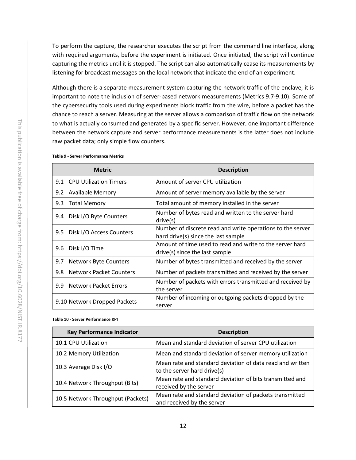To perform the capture, the researcher executes the script from the command line interface, along with required arguments, before the experiment is initiated. Once initiated, the script will continue capturing the metrics until it is stopped. The script can also automatically cease its measurements by listening for broadcast messages on the local network that indicate the end of an experiment.

Although there is a separate measurement system capturing the network traffic of the enclave, it is important to note the inclusion of server-based network measurements (Metrics 9.7-9.10). Some of the cybersecurity tools used during experiments block traffic from the wire, before a packet has the chance to reach a server. Measuring at the server allows a comparison of traffic flow on the network to what is actually consumed and generated by a specific server. However, one important difference between the network capture and server performance measurements is the latter does not include raw packet data; only simple flow counters.

|                                     | <b>Metric</b>                  | <b>Description</b>                                                                                |
|-------------------------------------|--------------------------------|---------------------------------------------------------------------------------------------------|
|                                     | 9.1 CPU Utilization Timers     | Amount of server CPU utilization                                                                  |
|                                     | 9.2 Available Memory           | Amount of server memory available by the server                                                   |
| 9.3                                 | <b>Total Memory</b>            | Total amount of memory installed in the server                                                    |
| 9.4                                 | Disk I/O Byte Counters         | Number of bytes read and written to the server hard<br>drive(s)                                   |
| 9.5                                 | Disk I/O Access Counters       | Number of discrete read and write operations to the server<br>hard drive(s) since the last sample |
| 9.6                                 | Disk I/O Time                  | Amount of time used to read and write to the server hard<br>drive(s) since the last sample        |
| <b>Network Byte Counters</b><br>9.7 |                                | Number of bytes transmitted and received by the server                                            |
| 9.8                                 | <b>Network Packet Counters</b> | Number of packets transmitted and received by the server                                          |
| 9.9                                 | Network Packet Errors          | Number of packets with errors transmitted and received by<br>the server                           |
| 9.10 Network Dropped Packets        |                                | Number of incoming or outgoing packets dropped by the<br>server                                   |

#### <span id="page-16-0"></span>**Table 9 - Server Performance Metrics**

#### <span id="page-16-1"></span>**Table 10 - Server Performance KPI**

| <b>Key Performance Indicator</b>  | <b>Description</b>                                                                       |
|-----------------------------------|------------------------------------------------------------------------------------------|
| 10.1 CPU Utilization              | Mean and standard deviation of server CPU utilization                                    |
| 10.2 Memory Utilization           | Mean and standard deviation of server memory utilization                                 |
| 10.3 Average Disk I/O             | Mean rate and standard deviation of data read and written<br>to the server hard drive(s) |
| 10.4 Network Throughput (Bits)    | Mean rate and standard deviation of bits transmitted and<br>received by the server       |
| 10.5 Network Throughput (Packets) | Mean rate and standard deviation of packets transmitted<br>and received by the server    |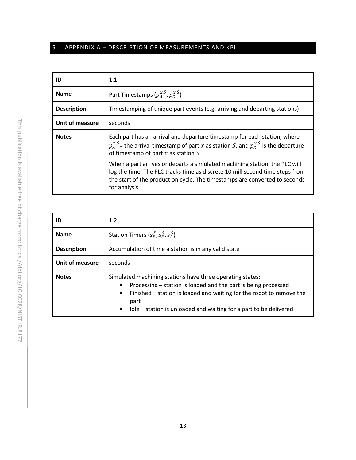## <span id="page-17-0"></span>5 APPENDIX A – DESCRIPTION OF MEASUREMENTS AND KPI

| ID                     | 1.1                                                                                                                                                                                                                                                       |
|------------------------|-----------------------------------------------------------------------------------------------------------------------------------------------------------------------------------------------------------------------------------------------------------|
| <b>Name</b>            | Part Timestamps $(p_{\scriptscriptstyle A}^{\scriptscriptstyle X,S},p_{\scriptscriptstyle D}^{\scriptscriptstyle X,S})$                                                                                                                                   |
| <b>Description</b>     | Timestamping of unique part events (e.g. arriving and departing stations)                                                                                                                                                                                 |
| <b>Unit of measure</b> | seconds                                                                                                                                                                                                                                                   |
| <b>Notes</b>           | Each part has an arrival and departure timestamp for each station, where<br>$p_{\lambda}^{\chi,S}$ = the arrival timestamp of part x as station S, and $p_{\rm D}^{\chi,S}$ is the departure<br>of timestamp of part $x$ as station $S$ .                 |
|                        | When a part arrives or departs a simulated machining station, the PLC will<br>log the time. The PLC tracks time as discrete 10 millisecond time steps from<br>the start of the production cycle. The timestamps are converted to seconds<br>for analysis. |

| ID                 | 1.2                                                                                                                                                                                                                                                                                                                     |  |
|--------------------|-------------------------------------------------------------------------------------------------------------------------------------------------------------------------------------------------------------------------------------------------------------------------------------------------------------------------|--|
| <b>Name</b>        | Station Timers $(s_P^S, s_F^S, s_I^S)$                                                                                                                                                                                                                                                                                  |  |
| <b>Description</b> | Accumulation of time a station is in any valid state                                                                                                                                                                                                                                                                    |  |
| Unit of measure    | seconds                                                                                                                                                                                                                                                                                                                 |  |
| <b>Notes</b>       | Simulated machining stations have three operating states:<br>Processing – station is loaded and the part is being processed<br>$\bullet$<br>Finished – station is loaded and waiting for the robot to remove the<br>$\bullet$<br>part<br>Idle – station is unloaded and waiting for a part to be delivered<br>$\bullet$ |  |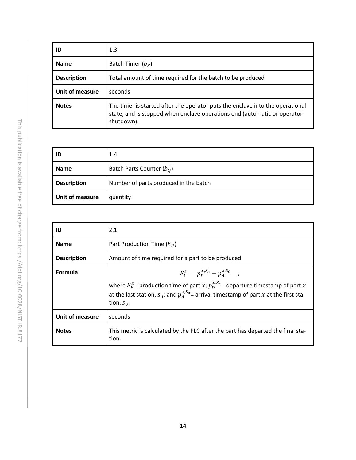| ID                 | 1.3                                                                                                                                                                     |
|--------------------|-------------------------------------------------------------------------------------------------------------------------------------------------------------------------|
| <b>Name</b>        | Batch Timer $(b_P)$                                                                                                                                                     |
| <b>Description</b> | Total amount of time required for the batch to be produced                                                                                                              |
| Unit of measure    | seconds                                                                                                                                                                 |
| <b>Notes</b>       | The timer is started after the operator puts the enclave into the operational<br>state, and is stopped when enclave operations end (automatic or operator<br>shutdown). |

| ID                 | 1.4                                   |
|--------------------|---------------------------------------|
| <b>Name</b>        | Batch Parts Counter $(bo)$            |
| <b>Description</b> | Number of parts produced in the batch |
| Unit of measure    | quantity                              |

| ID                 | 2.1                                                                                                                                                                                                                                                          |
|--------------------|--------------------------------------------------------------------------------------------------------------------------------------------------------------------------------------------------------------------------------------------------------------|
| <b>Name</b>        | Part Production Time $(E_P)$                                                                                                                                                                                                                                 |
| <b>Description</b> | Amount of time required for a part to be produced                                                                                                                                                                                                            |
| <b>Formula</b>     | $E_P^x = p_D^{x,S_n} - p_A^{x,S_0}$ ,<br>where $E_P^x$ = production time of part x; $p_n^{x,S_n}$ = departure timestamp of part x<br>at the last station, $s_n$ ; and $p_{\lambda}^{x,S_0}$ = arrival timestamp of part x at the first sta-<br>tion, $s_0$ . |
| Unit of measure    | seconds                                                                                                                                                                                                                                                      |
| <b>Notes</b>       | This metric is calculated by the PLC after the part has departed the final sta-<br>tion.                                                                                                                                                                     |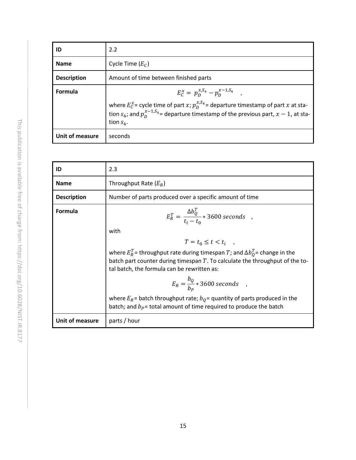| ID                 | 2.2                                                                                                                                                                                                                                                                 |
|--------------------|---------------------------------------------------------------------------------------------------------------------------------------------------------------------------------------------------------------------------------------------------------------------|
| <b>Name</b>        | Cycle Time $(E_C)$                                                                                                                                                                                                                                                  |
| <b>Description</b> | Amount of time between finished parts                                                                                                                                                                                                                               |
| Formula            | $E_C^{\chi} = p_D^{\chi, S_4} - p_D^{\chi - 1, S_4}$<br>where $E_C^x$ = cycle time of part x; $p_D^{x,S_4}$ = departure timestamp of part x at sta-<br>tion $s_4$ ; and $p_0^{x-1,S_4}$ = departure timestamp of the previous part, $x-1$ , at sta-<br>tion $S_4$ . |
| Unit of measure    | seconds                                                                                                                                                                                                                                                             |

| 2.3                                                                                                                                                                                                                                                                                                                                                                                                                                                                                                                          |
|------------------------------------------------------------------------------------------------------------------------------------------------------------------------------------------------------------------------------------------------------------------------------------------------------------------------------------------------------------------------------------------------------------------------------------------------------------------------------------------------------------------------------|
| Throughput Rate $(E_R)$                                                                                                                                                                                                                                                                                                                                                                                                                                                                                                      |
| Number of parts produced over a specific amount of time                                                                                                                                                                                                                                                                                                                                                                                                                                                                      |
| $E_R^T = \frac{\Delta b_Q^T}{t_1 - t_2}$ * 3600 seconds,<br>with<br>$T = t_0 \le t < t_i$ ,<br>where $E_R^T$ = throughput rate during timespan T; and $\Delta b_0^T$ = change in the<br>batch part counter during timespan $T$ . To calculate the throughput of the to-<br>tal batch, the formula can be rewritten as:<br>$E_R = \frac{b_Q}{b_R} * 3600$ seconds,<br>where $E_R$ = batch throughput rate; $b_0$ = quantity of parts produced in the<br>batch; and $b_p$ = total amount of time required to produce the batch |
| parts / hour                                                                                                                                                                                                                                                                                                                                                                                                                                                                                                                 |
|                                                                                                                                                                                                                                                                                                                                                                                                                                                                                                                              |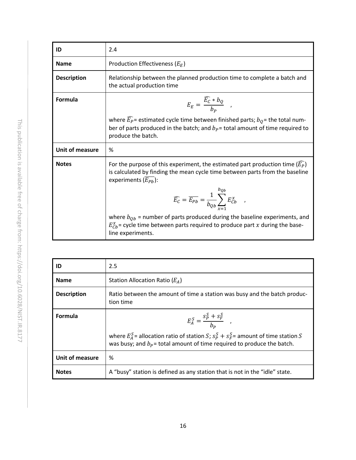| 2.4                                                                                                                                                                                                                                                                                                                                                                                                                                                                              |
|----------------------------------------------------------------------------------------------------------------------------------------------------------------------------------------------------------------------------------------------------------------------------------------------------------------------------------------------------------------------------------------------------------------------------------------------------------------------------------|
| Production Effectiveness ( $E_F$ )                                                                                                                                                                                                                                                                                                                                                                                                                                               |
| Relationship between the planned production time to complete a batch and<br>the actual production time                                                                                                                                                                                                                                                                                                                                                                           |
| $E_E = \frac{\widehat{E_C} * b_Q}{h_P} ,$                                                                                                                                                                                                                                                                                                                                                                                                                                        |
| where $\widehat{E_P}$ = estimated cycle time between finished parts; $b_O$ = the total num-<br>ber of parts produced in the batch; and $bP$ = total amount of time required to<br>produce the batch.                                                                                                                                                                                                                                                                             |
| %                                                                                                                                                                                                                                                                                                                                                                                                                                                                                |
| For the purpose of this experiment, the estimated part production time $(E_P)$<br>is calculated by finding the mean cycle time between parts from the baseline<br>experiments $(E_{Ph})$ :<br>$\widehat{E_C} = \overline{E_{Pb}} = \frac{1}{b_{Ob}} \sum_{P}^{Qb} E_{Cb}^x$<br>where $b_{Qb}$ = number of parts produced during the baseline experiments, and<br>$E_{\textit{Cb}}^x$ = cycle time between parts required to produce part x during the base-<br>line experiments. |
|                                                                                                                                                                                                                                                                                                                                                                                                                                                                                  |

| ID                 | 2.5                                                                                                                                                                                                             |
|--------------------|-----------------------------------------------------------------------------------------------------------------------------------------------------------------------------------------------------------------|
| <b>Name</b>        | Station Allocation Ratio $(E_A)$                                                                                                                                                                                |
| <b>Description</b> | Ratio between the amount of time a station was busy and the batch produc-<br>tion time                                                                                                                          |
| Formula            | $E_A^S = \frac{S_P^S + S_F^S}{h_P}$ ,<br>where $E_A^S$ = allocation ratio of station S; $s_p^S + s_F^S$ = amount of time station S<br>was busy; and $b_P$ = total amount of time required to produce the batch. |
| Unit of measure    | %                                                                                                                                                                                                               |
| <b>Notes</b>       | A "busy" station is defined as any station that is not in the "idle" state.                                                                                                                                     |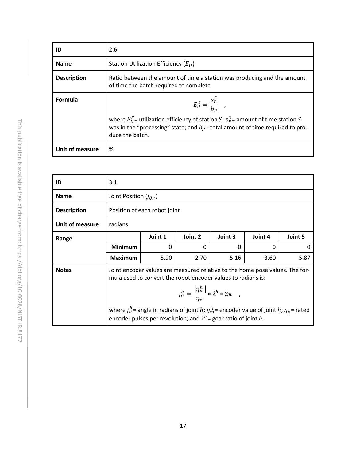| ID                 | 2.6                                                                                                                                                                                                                                 |
|--------------------|-------------------------------------------------------------------------------------------------------------------------------------------------------------------------------------------------------------------------------------|
| <b>Name</b>        | Station Utilization Efficiency $(E_{II})$                                                                                                                                                                                           |
| <b>Description</b> | Ratio between the amount of time a station was producing and the amount<br>of time the batch required to complete                                                                                                                   |
| Formula            | $E_U^S = \frac{S_P^S}{b_P}$<br>where $E_{II}^{S}$ utilization efficiency of station S; $S_{P}^{S}$ = amount of time station S<br>was in the "processing" state; and $bP$ = total amount of time required to pro-<br>duce the batch. |
| Unit of measure    | %                                                                                                                                                                                                                                   |

| ID                 | 3.1                                                                                                                                                                                                             |                              |                                                                                                                                                                                        |          |          |         |
|--------------------|-----------------------------------------------------------------------------------------------------------------------------------------------------------------------------------------------------------------|------------------------------|----------------------------------------------------------------------------------------------------------------------------------------------------------------------------------------|----------|----------|---------|
| <b>Name</b>        | Joint Position $(j_{\theta P})$                                                                                                                                                                                 |                              |                                                                                                                                                                                        |          |          |         |
| <b>Description</b> |                                                                                                                                                                                                                 | Position of each robot joint |                                                                                                                                                                                        |          |          |         |
| Unit of measure    | radians                                                                                                                                                                                                         |                              |                                                                                                                                                                                        |          |          |         |
| Range              |                                                                                                                                                                                                                 | Joint 1                      | Joint 2                                                                                                                                                                                | Joint 3  | Joint 4  | Joint 5 |
|                    | <b>Minimum</b>                                                                                                                                                                                                  | $\Omega$                     | 0                                                                                                                                                                                      | $\Omega$ | $\Omega$ | 0       |
|                    | <b>Maximum</b>                                                                                                                                                                                                  | 5.90                         | 2.70                                                                                                                                                                                   | 5.16     | 3.60     | 5.87    |
| <b>Notes</b>       | Joint encoder values are measured relative to the home pose values. The for-<br>mula used to convert the robot encoder values to radians is:<br>$j_{\theta}^h = \frac{ \eta_m^h }{\eta_n} * \lambda^h * 2\pi ,$ |                              |                                                                                                                                                                                        |          |          |         |
|                    |                                                                                                                                                                                                                 |                              | where $j_{\theta}^h$ = angle in radians of joint h; $\eta_m^h$ = encoder value of joint h; $\eta_p$ = rated<br>encoder pulses per revolution; and $\lambda^h$ = gear ratio of joint h. |          |          |         |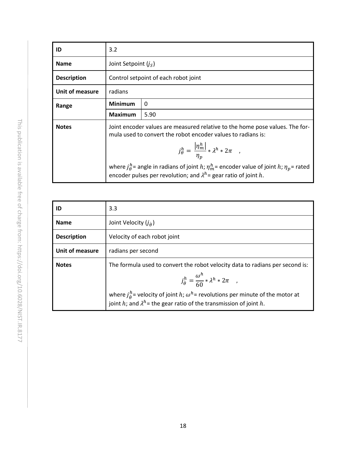| ID                 | 3.2            |                                                                                                                                                                                        |  |  |
|--------------------|----------------|----------------------------------------------------------------------------------------------------------------------------------------------------------------------------------------|--|--|
| <b>Name</b>        |                | Joint Setpoint $(i_S)$                                                                                                                                                                 |  |  |
| <b>Description</b> |                | Control setpoint of each robot joint                                                                                                                                                   |  |  |
| Unit of measure    | radians        |                                                                                                                                                                                        |  |  |
| Range              | <b>Minimum</b> | 0                                                                                                                                                                                      |  |  |
|                    | <b>Maximum</b> | 5.90                                                                                                                                                                                   |  |  |
| <b>Notes</b>       |                | Joint encoder values are measured relative to the home pose values. The for-<br>mula used to convert the robot encoder values to radians is:                                           |  |  |
|                    |                | $j_{\theta}^h = \frac{ \eta_m^h }{n_n} * \lambda^h * 2\pi ,$                                                                                                                           |  |  |
|                    |                | where $j_{\theta}^h$ = angle in radians of joint h; $\eta_m^h$ = encoder value of joint h; $\eta_p$ = rated<br>encoder pulses per revolution; and $\lambda^h$ = gear ratio of joint h. |  |  |

| ID                 | 3.3                                                                                                                                                                                                                                                                                                                              |
|--------------------|----------------------------------------------------------------------------------------------------------------------------------------------------------------------------------------------------------------------------------------------------------------------------------------------------------------------------------|
| <b>Name</b>        | Joint Velocity $(j_{\hat{\theta}})$                                                                                                                                                                                                                                                                                              |
| <b>Description</b> | Velocity of each robot joint                                                                                                                                                                                                                                                                                                     |
| Unit of measure    | radians per second                                                                                                                                                                                                                                                                                                               |
| <b>Notes</b>       | The formula used to convert the robot velocity data to radians per second is:<br>$j_{\dot{\theta}}^h = \frac{\omega^n}{60} * \lambda^h * 2\pi ,$<br>where $j_{\theta}^h$ = velocity of joint h; $\omega^h$ = revolutions per minute of the motor at<br>joint h; and $\lambda^h$ = the gear ratio of the transmission of joint h. |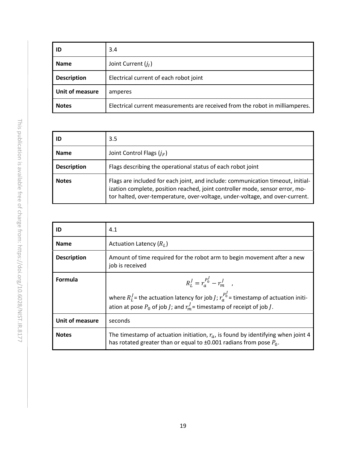| ID                 | 3.4                                                                          |
|--------------------|------------------------------------------------------------------------------|
| <b>Name</b>        | Joint Current $(j_I)$                                                        |
| <b>Description</b> | Electrical current of each robot joint                                       |
| Unit of measure    | amperes                                                                      |
| <b>Notes</b>       | Electrical current measurements are received from the robot in milliamperes. |

| ID                 | 3.5                                                                                                                                                                                                                                             |
|--------------------|-------------------------------------------------------------------------------------------------------------------------------------------------------------------------------------------------------------------------------------------------|
| <b>Name</b>        | Joint Control Flags $(j_F)$                                                                                                                                                                                                                     |
| <b>Description</b> | Flags describing the operational status of each robot joint                                                                                                                                                                                     |
| <b>Notes</b>       | Flags are included for each joint, and include: communication timeout, initial-<br>ization complete, position reached, joint controller mode, sensor error, mo-<br>tor halted, over-temperature, over-voltage, under-voltage, and over-current. |

| ID                 | 4.1                                                                                                                                                                                                                                     |
|--------------------|-----------------------------------------------------------------------------------------------------------------------------------------------------------------------------------------------------------------------------------------|
| <b>Name</b>        | Actuation Latency $(R_L)$                                                                                                                                                                                                               |
| <b>Description</b> | Amount of time required for the robot arm to begin movement after a new<br>job is received                                                                                                                                              |
| Formula            | $R_1^J = r_a^{P_0^J} - r_m^J$ .<br>where $R_L^J$ = the actuation latency for job <i>J</i> ; $r_a^{P_J^J}$ = timestamp of actuation initi-<br>ation at pose $P_0$ of job <i>J</i> ; and $r_m^J$ = timestamp of receipt of job <i>J</i> . |
| Unit of measure    | seconds                                                                                                                                                                                                                                 |
| <b>Notes</b>       | The timestamp of actuation initiation, $r_a$ , is found by identifying when joint 4<br>has rotated greater than or equal to $\pm 0.001$ radians from pose $P_0$ .                                                                       |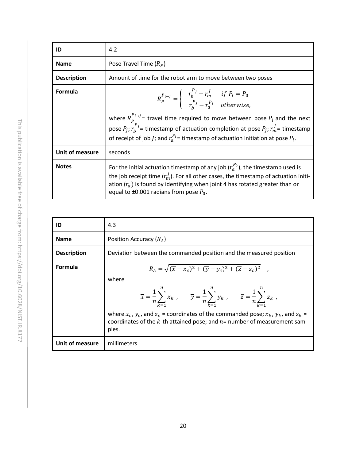| ID                 | 4.2                                                                                                                                                                                                                                                                                                                                                                                                                                                   |  |
|--------------------|-------------------------------------------------------------------------------------------------------------------------------------------------------------------------------------------------------------------------------------------------------------------------------------------------------------------------------------------------------------------------------------------------------------------------------------------------------|--|
| <b>Name</b>        | Pose Travel Time $(R_P)$                                                                                                                                                                                                                                                                                                                                                                                                                              |  |
| <b>Description</b> | Amount of time for the robot arm to move between two poses                                                                                                                                                                                                                                                                                                                                                                                            |  |
| <b>Formula</b>     | $R_P^{P_{i\rightarrow j}} = \begin{cases} r_b^{F_j} - r_m^j & \text{if } P_i = P_0 \\ r_a^{P_j} - r_a^{P_i} & \text{otherwise.} \end{cases}$<br>where $R_p^{P_{i\rightarrow j}}$ travel time required to move between pose $P_i$ and the next<br>pose $P_i$ ; $r_h^{P_j}$ = timestamp of actuation completion at pose $P_i$ ; $r_m^j$ = timestamp<br>of receipt of job <i>J</i> ; and $r_a^{P_i}$ = timestamp of actuation initiation at pose $P_i$ . |  |
| Unit of measure    | seconds                                                                                                                                                                                                                                                                                                                                                                                                                                               |  |
| <b>Notes</b>       | For the initial actuation timestamp of any job $(r_a^{P_0})$ , the timestamp used is<br>the job receipt time $(r_m^J)$ . For all other cases, the timestamp of actuation initi-<br>ation $(r_a)$ is found by identifying when joint 4 has rotated greater than or<br>equal to $\pm 0.001$ radians from pose $P_0$ .                                                                                                                                   |  |

| ID                 | 4.3                                                                                                                                                                                                                                                                                                                                                                                                                                                       |
|--------------------|-----------------------------------------------------------------------------------------------------------------------------------------------------------------------------------------------------------------------------------------------------------------------------------------------------------------------------------------------------------------------------------------------------------------------------------------------------------|
| <b>Name</b>        | Position Accuracy $(R_A)$                                                                                                                                                                                                                                                                                                                                                                                                                                 |
| <b>Description</b> | Deviation between the commanded position and the measured position                                                                                                                                                                                                                                                                                                                                                                                        |
| <b>Formula</b>     | $R_A = \sqrt{(\overline{x} - x_c)^2 + (\overline{y} - y_c)^2 + (\overline{z} - z_c)^2}$ ,<br>where<br>$\overline{x} = \frac{1}{n} \sum_{k=1}^{n} x_k$ , $\overline{y} = \frac{1}{n} \sum_{k=1}^{n} y_k$ , $\overline{z} = \frac{1}{n} \sum_{k=1}^{n} z_k$ ,<br>where $x_c$ , $y_c$ , and $z_c$ = coordinates of the commanded pose; $x_k$ , $y_k$ , and $z_k$ =<br>coordinates of the $k$ -th attained pose; and $n=$ number of measurement sam-<br>ples. |
| Unit of measure    | millimeters                                                                                                                                                                                                                                                                                                                                                                                                                                               |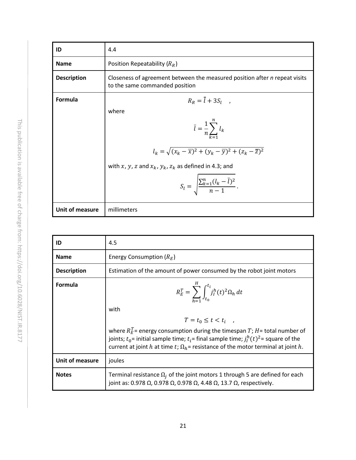| ID                 | 4.4                                                                                                                                                                                                                                                                                                                         |
|--------------------|-----------------------------------------------------------------------------------------------------------------------------------------------------------------------------------------------------------------------------------------------------------------------------------------------------------------------------|
| <b>Name</b>        | Position Repeatability $(R_R)$                                                                                                                                                                                                                                                                                              |
| <b>Description</b> | Closeness of agreement between the measured position after n repeat visits<br>to the same commanded position                                                                                                                                                                                                                |
| Formula            | $R_R = \overline{l} + 3S_l$ ,<br>where<br>$\overline{l} = \frac{1}{n} \sum_{k=1}^{n} l_k$<br>$l_k = \sqrt{(x_k - \overline{x})^2 + (y_k - \overline{y})^2 + (z_k - \overline{z})^2}$<br>with x, y, z and $x_k$ , $y_k$ , $z_k$ as defined in 4.3; and<br>$S_l = \sqrt{\frac{\sum_{k=1}^{n} (l_k - \overline{l})^2}{n-1}}$ . |
| Unit of measure    | millimeters                                                                                                                                                                                                                                                                                                                 |

| ID                 | 4.5                                                                                                                                                                                                                                                                                                                                                                                  |
|--------------------|--------------------------------------------------------------------------------------------------------------------------------------------------------------------------------------------------------------------------------------------------------------------------------------------------------------------------------------------------------------------------------------|
| <b>Name</b>        | Energy Consumption $(R_E)$                                                                                                                                                                                                                                                                                                                                                           |
| <b>Description</b> | Estimation of the amount of power consumed by the robot joint motors                                                                                                                                                                                                                                                                                                                 |
| Formula            | $R_E^T = \sum_{l=1}^{\infty} \int_{t_0}^{t_l} j_l^h(t)^2 \Omega_h dt$<br>with<br>$T = t_0 \le t < t_i$ ,<br>where $R_E^T$ = energy consumption during the timespan T; H = total number of<br>joints; $t_0$ = initial sample time; $t_i$ = final sample time; $j_l^h(t)^2$ = square of the<br>current at joint h at time t; $\Omega_h$ = resistance of the motor terminal at joint h. |
| Unit of measure    | joules                                                                                                                                                                                                                                                                                                                                                                               |
| <b>Notes</b>       | Terminal resistance $\Omega_i$ of the joint motors 1 through 5 are defined for each<br>joint as: 0.978 $\Omega$ , 0.978 $\Omega$ , 0.978 $\Omega$ , 4.48 $\Omega$ , 13.7 $\Omega$ , respectively.                                                                                                                                                                                    |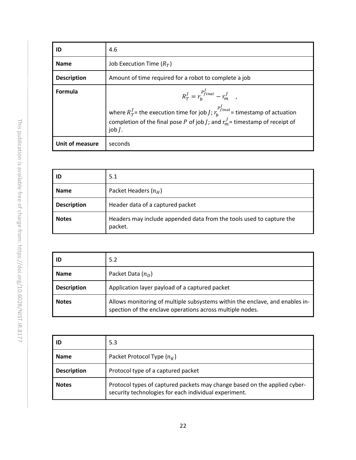| ID                 | 4.6                                                                                                                                                                                                                                                    |
|--------------------|--------------------------------------------------------------------------------------------------------------------------------------------------------------------------------------------------------------------------------------------------------|
| <b>Name</b>        | Job Execution Time $(R_T)$                                                                                                                                                                                                                             |
| <b>Description</b> | Amount of time required for a robot to complete a job                                                                                                                                                                                                  |
| Formula            | $R_T^{\,J} = r_h^{\,P_{final}^{\,J}} - r_m^{\,J}$ ,<br>where $R_T^J$ = the execution time for job <i>J</i> ; $r_h^{P_{final}}$ = timestamp of actuation<br>completion of the final pose P of job J; and $r_m^J$ = timestamp of receipt of<br>job $I$ . |
| Unit of measure    | seconds                                                                                                                                                                                                                                                |

| ID                 | 5.1                                                                             |
|--------------------|---------------------------------------------------------------------------------|
| <b>Name</b>        | Packet Headers $(n_H)$                                                          |
| <b>Description</b> | Header data of a captured packet                                                |
| <b>Notes</b>       | Headers may include appended data from the tools used to capture the<br>packet. |

| ID                 | 5.2                                                                                                                                       |
|--------------------|-------------------------------------------------------------------------------------------------------------------------------------------|
| <b>Name</b>        | Packet Data $(n_D)$                                                                                                                       |
| <b>Description</b> | Application layer payload of a captured packet                                                                                            |
| <b>Notes</b>       | Allows monitoring of multiple subsystems within the enclave, and enables in-<br>spection of the enclave operations across multiple nodes. |

| ID                 | 5.3                                                                                                                                |
|--------------------|------------------------------------------------------------------------------------------------------------------------------------|
| <b>Name</b>        | Packet Protocol Type $(n_K)$                                                                                                       |
| <b>Description</b> | Protocol type of a captured packet                                                                                                 |
| <b>Notes</b>       | Protocol types of captured packets may change based on the applied cyber-<br>security technologies for each individual experiment. |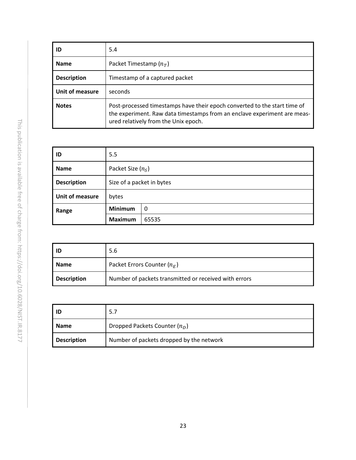| ID                     | 5.4                                                                                                                                                                                           |
|------------------------|-----------------------------------------------------------------------------------------------------------------------------------------------------------------------------------------------|
| <b>Name</b>            | Packet Timestamp $(n_T)$                                                                                                                                                                      |
| <b>Description</b>     | Timestamp of a captured packet                                                                                                                                                                |
| <b>Unit of measure</b> | seconds                                                                                                                                                                                       |
| <b>Notes</b>           | Post-processed timestamps have their epoch converted to the start time of<br>the experiment. Raw data timestamps from an enclave experiment are meas-<br>ured relatively from the Unix epoch. |

| ID                 | 5.5                       |       |
|--------------------|---------------------------|-------|
| <b>Name</b>        | Packet Size $(n_S)$       |       |
| <b>Description</b> | Size of a packet in bytes |       |
| Unit of measure    | bytes                     |       |
| Range              | <b>Minimum</b>            | 0     |
|                    | <b>Maximum</b>            | 65535 |

| ID                 | 5.6                                                   |
|--------------------|-------------------------------------------------------|
| <b>Name</b>        | Packet Errors Counter $(n_E)$                         |
| <b>Description</b> | Number of packets transmitted or received with errors |

| ID                 | 5.7                                      |
|--------------------|------------------------------------------|
| <b>Name</b>        | Dropped Packets Counter $(n_D)$          |
| <b>Description</b> | Number of packets dropped by the network |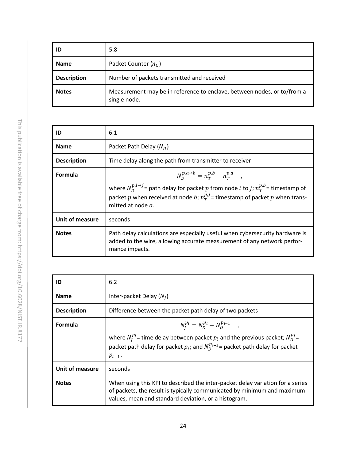| ID                 | 5.8                                                                                     |
|--------------------|-----------------------------------------------------------------------------------------|
| <b>Name</b>        | Packet Counter $(nc)$                                                                   |
| <b>Description</b> | Number of packets transmitted and received                                              |
| <b>Notes</b>       | Measurement may be in reference to enclave, between nodes, or to/from a<br>single node. |

| ID                 | 6.1                                                                                                                                                                                                                                                                                   |
|--------------------|---------------------------------------------------------------------------------------------------------------------------------------------------------------------------------------------------------------------------------------------------------------------------------------|
| <b>Name</b>        | Packet Path Delay $(N_D)$                                                                                                                                                                                                                                                             |
| <b>Description</b> | Time delay along the path from transmitter to receiver                                                                                                                                                                                                                                |
| <b>Formula</b>     | $N_{D}^{p,a\to b} = n_{T}^{p,b} - n_{T}^{p,a}$ ,<br>where $N_D^{p,i\rightarrow j}$ = path delay for packet p from node <i>i</i> to <i>j</i> ; $n_T^{p,b}$ = timestamp of<br>packet p when received at node b; $n_T^{p,j}$ = timestamp of packet p when trans-<br>mitted at node $a$ . |
| Unit of measure    | seconds                                                                                                                                                                                                                                                                               |
| <b>Notes</b>       | Path delay calculations are especially useful when cybersecurity hardware is<br>added to the wire, allowing accurate measurement of any network perfor-<br>mance impacts.                                                                                                             |

| ID                 | 6.2                                                                                                                                                                                                               |
|--------------------|-------------------------------------------------------------------------------------------------------------------------------------------------------------------------------------------------------------------|
| <b>Name</b>        | Inter-packet Delay $(N_I)$                                                                                                                                                                                        |
| <b>Description</b> | Difference between the packet path delay of two packets                                                                                                                                                           |
| Formula            | $N_I^{p_i} = N_D^{p_i} - N_D^{p_{i-1}}$ ,                                                                                                                                                                         |
|                    | where $N_l^{p_i}$ = time delay between packet $p_i$ and the previous packet; $N_p^{p_i}$ =<br>packet path delay for packet $p_i$ ; and $N_p^{p_{i-1}}$ = packet path delay for packet<br>$p_{i-1}$ .              |
| Unit of measure    | seconds                                                                                                                                                                                                           |
| <b>Notes</b>       | When using this KPI to described the inter-packet delay variation for a series<br>of packets, the result is typically communicated by minimum and maximum<br>values, mean and standard deviation, or a histogram. |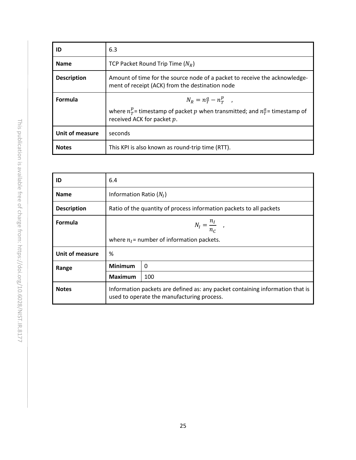| ID                 | 6.3                                                                                                                                            |
|--------------------|------------------------------------------------------------------------------------------------------------------------------------------------|
| <b>Name</b>        | TCP Packet Round Trip Time $(N_R)$                                                                                                             |
| <b>Description</b> | Amount of time for the source node of a packet to receive the acknowledge-<br>ment of receipt (ACK) from the destination node                  |
| Formula            | $N_R = n_T^a - n_T^p$ ,<br>where $n_T^p$ = timestamp of packet p when transmitted; and $n_T^a$ = timestamp of<br>received ACK for packet $p$ . |
| Unit of measure    | seconds                                                                                                                                        |
| <b>Notes</b>       | This KPI is also known as round-trip time (RTT).                                                                                               |

| ID                 | 6.4                                                                                                                         |                           |  |
|--------------------|-----------------------------------------------------------------------------------------------------------------------------|---------------------------|--|
| <b>Name</b>        |                                                                                                                             | Information Ratio $(N_I)$ |  |
| <b>Description</b> | Ratio of the quantity of process information packets to all packets                                                         |                           |  |
| Formula            | $N_I = \frac{n_I}{n_C}$ ,                                                                                                   |                           |  |
|                    | where $n_i$ = number of information packets.                                                                                |                           |  |
| Unit of measure    | %                                                                                                                           |                           |  |
| Range              | <b>Minimum</b><br>$\Omega$                                                                                                  |                           |  |
|                    | <b>Maximum</b>                                                                                                              | 100                       |  |
| <b>Notes</b>       | Information packets are defined as: any packet containing information that is<br>used to operate the manufacturing process. |                           |  |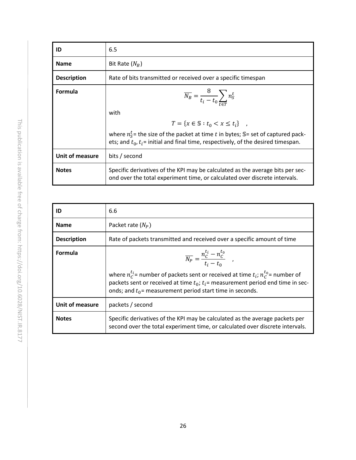| ID                 | 6.5                                                                                                                                                                                |  |  |
|--------------------|------------------------------------------------------------------------------------------------------------------------------------------------------------------------------------|--|--|
| <b>Name</b>        | Bit Rate $(N_B)$                                                                                                                                                                   |  |  |
| <b>Description</b> | Rate of bits transmitted or received over a specific timespan                                                                                                                      |  |  |
| <b>Formula</b>     | $\overline{N_B} = \frac{8}{t_i - t_0} \sum n_S^t$                                                                                                                                  |  |  |
|                    | with                                                                                                                                                                               |  |  |
|                    | $T = \{x \in \mathbb{S} : t_0 < x \le t_i\}$ ,                                                                                                                                     |  |  |
|                    | where $n_{\rm s}^t$ the size of the packet at time t in bytes; S= set of captured pack-<br>ets; and $t_0$ , $t_i$ = initial and final time, respectively, of the desired timespan. |  |  |
| Unit of measure    | bits / second                                                                                                                                                                      |  |  |
| <b>Notes</b>       | Specific derivatives of the KPI may be calculated as the average bits per sec-<br>ond over the total experiment time, or calculated over discrete intervals.                       |  |  |

| ID                 | 6.6                                                                                                                                                                                                                                                                                                                   |
|--------------------|-----------------------------------------------------------------------------------------------------------------------------------------------------------------------------------------------------------------------------------------------------------------------------------------------------------------------|
| <b>Name</b>        | Packet rate $(N_P)$                                                                                                                                                                                                                                                                                                   |
| <b>Description</b> | Rate of packets transmitted and received over a specific amount of time                                                                                                                                                                                                                                               |
| <b>Formula</b>     | $\overline{N_P} = \frac{n_C^{t_i} - n_C^{t_0}}{t_i - t_0}$ ,<br>where $n_c^{t_i}$ = number of packets sent or received at time $t_i$ ; $n_c^{t_0}$ = number of<br>packets sent or received at time $t_0$ ; $t_i$ = measurement period end time in sec-<br>onds; and $t_0$ = measurement period start time in seconds. |
| Unit of measure    | packets / second                                                                                                                                                                                                                                                                                                      |
| <b>Notes</b>       | Specific derivatives of the KPI may be calculated as the average packets per<br>second over the total experiment time, or calculated over discrete intervals.                                                                                                                                                         |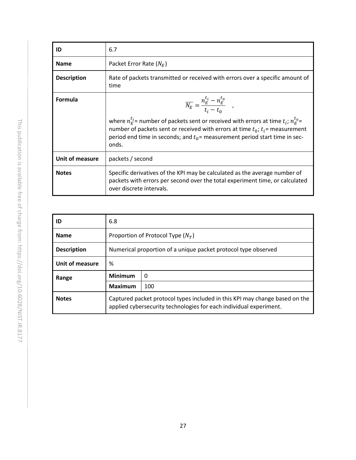| ID                     | 6.7                                                                                                                                                                                                                                                                                                                                              |  |
|------------------------|--------------------------------------------------------------------------------------------------------------------------------------------------------------------------------------------------------------------------------------------------------------------------------------------------------------------------------------------------|--|
| <b>Name</b>            | Packet Error Rate $(N_F)$                                                                                                                                                                                                                                                                                                                        |  |
| <b>Description</b>     | Rate of packets transmitted or received with errors over a specific amount of<br>time                                                                                                                                                                                                                                                            |  |
| Formula                | $\overline{N_E} = \frac{n_E^{t_i} - n_E^{t_0}}{t_i - t_0}$ ,<br>where $n_E^{t_i}$ = number of packets sent or received with errors at time $t_i$ ; $n_E^{t_0}$ =<br>number of packets sent or received with errors at time $t_0$ ; $t_i$ = measurement<br>period end time in seconds; and $t_0$ = measurement period start time in sec-<br>onds. |  |
| <b>Unit of measure</b> | packets / second                                                                                                                                                                                                                                                                                                                                 |  |
| <b>Notes</b>           | Specific derivatives of the KPI may be calculated as the average number of<br>packets with errors per second over the total experiment time, or calculated<br>over discrete intervals.                                                                                                                                                           |  |

| ID                 | 6.8                                                                                                                                               |          |
|--------------------|---------------------------------------------------------------------------------------------------------------------------------------------------|----------|
| <b>Name</b>        | Proportion of Protocol Type $(N_T)$                                                                                                               |          |
| <b>Description</b> | Numerical proportion of a unique packet protocol type observed                                                                                    |          |
| Unit of measure    | %                                                                                                                                                 |          |
| Range              | <b>Minimum</b>                                                                                                                                    | $\Omega$ |
|                    | <b>Maximum</b>                                                                                                                                    | 100      |
| <b>Notes</b>       | Captured packet protocol types included in this KPI may change based on the<br>applied cybersecurity technologies for each individual experiment. |          |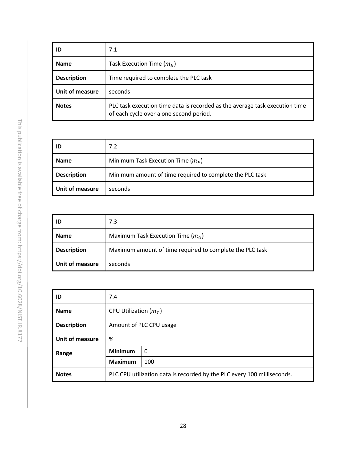| ID                 | 7.1                                                                                                                    |  |  |
|--------------------|------------------------------------------------------------------------------------------------------------------------|--|--|
| <b>Name</b>        | Task Execution Time $(m_F)$                                                                                            |  |  |
| <b>Description</b> | Time required to complete the PLC task                                                                                 |  |  |
| Unit of measure    | seconds                                                                                                                |  |  |
| <b>Notes</b>       | PLC task execution time data is recorded as the average task execution time<br>of each cycle over a one second period. |  |  |

| -ID                | 7.2                                                      |  |
|--------------------|----------------------------------------------------------|--|
| <b>Name</b>        | Minimum Task Execution Time $(m_F)$                      |  |
| <b>Description</b> | Minimum amount of time required to complete the PLC task |  |
| Unit of measure    | seconds                                                  |  |

| ID                 | 7.3                                                      |  |
|--------------------|----------------------------------------------------------|--|
| <b>Name</b>        | Maximum Task Execution Time $(m_G)$                      |  |
| <b>Description</b> | Maximum amount of time required to complete the PLC task |  |
| Unit of measure    | seconds                                                  |  |

| ID                 | 7.4                                                                     |     |
|--------------------|-------------------------------------------------------------------------|-----|
| <b>Name</b>        | CPU Utilization $(m_T)$                                                 |     |
| <b>Description</b> | Amount of PLC CPU usage                                                 |     |
| Unit of measure    | %                                                                       |     |
| Range              | <b>Minimum</b><br>$\Omega$                                              |     |
|                    | <b>Maximum</b>                                                          | 100 |
| <b>Notes</b>       | PLC CPU utilization data is recorded by the PLC every 100 milliseconds. |     |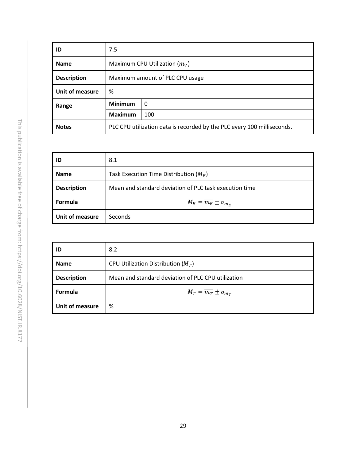| ID                 | 7.5                                                                     |          |
|--------------------|-------------------------------------------------------------------------|----------|
| <b>Name</b>        | Maximum CPU Utilization $(m_V)$                                         |          |
| <b>Description</b> | Maximum amount of PLC CPU usage                                         |          |
| Unit of measure    | %                                                                       |          |
| Range              | <b>Minimum</b>                                                          | $\Omega$ |
|                    | <b>Maximum</b>                                                          | 100      |
| <b>Notes</b>       | PLC CPU utilization data is recorded by the PLC every 100 milliseconds. |          |

| ID                 | 8.1                                                    |
|--------------------|--------------------------------------------------------|
| <b>Name</b>        | Task Execution Time Distribution ( $M_E$ )             |
| <b>Description</b> | Mean and standard deviation of PLC task execution time |
| Formula            | $M_E = \overline{m_E} \pm \sigma_{m_E}$                |
| Unit of measure    | Seconds                                                |

| ID                 | 8.2                                                |
|--------------------|----------------------------------------------------|
| <b>Name</b>        | CPU Utilization Distribution ( $M_T$ )             |
| <b>Description</b> | Mean and standard deviation of PLC CPU utilization |
| Formula            | $M_T = \overline{m_T} \pm \sigma_{m_T}$            |
| Unit of measure    | %                                                  |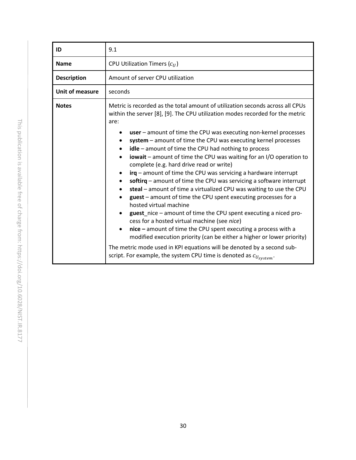| ID                 | 9.1                                                                                                                                                                                                                                                                                                                                                                                                                                                                                                                                                                                                                                                                                                                                                                                                                                                                                                                                                                                                                                                                                                                                                                                                                                                         |  |  |
|--------------------|-------------------------------------------------------------------------------------------------------------------------------------------------------------------------------------------------------------------------------------------------------------------------------------------------------------------------------------------------------------------------------------------------------------------------------------------------------------------------------------------------------------------------------------------------------------------------------------------------------------------------------------------------------------------------------------------------------------------------------------------------------------------------------------------------------------------------------------------------------------------------------------------------------------------------------------------------------------------------------------------------------------------------------------------------------------------------------------------------------------------------------------------------------------------------------------------------------------------------------------------------------------|--|--|
| <b>Name</b>        | CPU Utilization Timers $(c_{II})$                                                                                                                                                                                                                                                                                                                                                                                                                                                                                                                                                                                                                                                                                                                                                                                                                                                                                                                                                                                                                                                                                                                                                                                                                           |  |  |
| <b>Description</b> | Amount of server CPU utilization                                                                                                                                                                                                                                                                                                                                                                                                                                                                                                                                                                                                                                                                                                                                                                                                                                                                                                                                                                                                                                                                                                                                                                                                                            |  |  |
| Unit of measure    | seconds                                                                                                                                                                                                                                                                                                                                                                                                                                                                                                                                                                                                                                                                                                                                                                                                                                                                                                                                                                                                                                                                                                                                                                                                                                                     |  |  |
| <b>Notes</b>       | Metric is recorded as the total amount of utilization seconds across all CPUs<br>within the server [8], [9]. The CPU utilization modes recorded for the metric<br>are:<br>$user$ – amount of time the CPU was executing non-kernel processes<br>system – amount of time the CPU was executing kernel processes<br>$idle$ – amount of time the CPU had nothing to process<br><b>iowait</b> – amount of time the CPU was waiting for an I/O operation to<br>complete (e.g. hard drive read or write)<br>$irq$ – amount of time the CPU was servicing a hardware interrupt<br>softirg $-$ amount of time the CPU was servicing a software interrupt<br>steal – amount of time a virtualized CPU was waiting to use the CPU<br>guest – amount of time the CPU spent executing processes for a<br>hosted virtual machine<br>guest nice $-$ amount of time the CPU spent executing a niced pro-<br>$\bullet$<br>cess for a hosted virtual machine (see nice)<br>$nice$ – amount of time the CPU spent executing a process with a<br>modified execution priority (can be either a higher or lower priority)<br>The metric mode used in KPI equations will be denoted by a second sub-<br>script. For example, the system CPU time is denoted as $c_{U_{system}}$ . |  |  |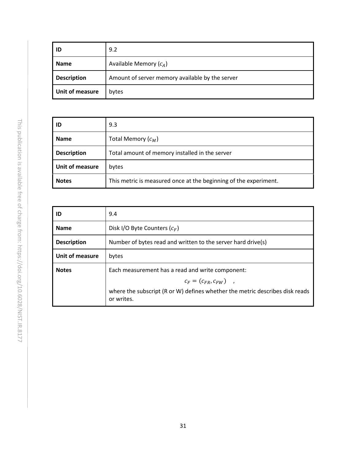| ID                 | 9.2                                             |  |  |
|--------------------|-------------------------------------------------|--|--|
| <b>Name</b>        | Available Memory $(c_A)$                        |  |  |
| <b>Description</b> | Amount of server memory available by the server |  |  |
| Unit of measure    | bytes                                           |  |  |

| ID                 | 9.3                                                              |  |  |
|--------------------|------------------------------------------------------------------|--|--|
| <b>Name</b>        | Total Memory $(c_M)$                                             |  |  |
| <b>Description</b> | Total amount of memory installed in the server                   |  |  |
| Unit of measure    | bytes                                                            |  |  |
| <b>Notes</b>       | This metric is measured once at the beginning of the experiment. |  |  |

| ID                     | 9.4                                                                                        |  |  |
|------------------------|--------------------------------------------------------------------------------------------|--|--|
| <b>Name</b>            | Disk I/O Byte Counters $(c_F)$                                                             |  |  |
| <b>Description</b>     | Number of bytes read and written to the server hard drive(s)                               |  |  |
| <b>Unit of measure</b> | bytes                                                                                      |  |  |
| <b>Notes</b>           | Each measurement has a read and write component:                                           |  |  |
|                        | $c_F = (c_{FR}, c_{FW})$ ,                                                                 |  |  |
|                        | where the subscript (R or W) defines whether the metric describes disk reads<br>or writes. |  |  |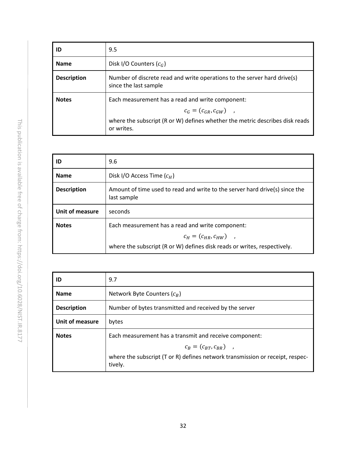| ID                 | 9.5                                                                                                                                                                          |  |
|--------------------|------------------------------------------------------------------------------------------------------------------------------------------------------------------------------|--|
| <b>Name</b>        | Disk I/O Counters $(c_G)$                                                                                                                                                    |  |
| <b>Description</b> | Number of discrete read and write operations to the server hard drive(s)<br>since the last sample                                                                            |  |
| <b>Notes</b>       | Each measurement has a read and write component:<br>$c_G = (c_{GR}, c_{GW})$ ,<br>where the subscript (R or W) defines whether the metric describes disk reads<br>or writes. |  |

| ID                 | 9.6                                                                                                                                                        |  |  |
|--------------------|------------------------------------------------------------------------------------------------------------------------------------------------------------|--|--|
| <b>Name</b>        | Disk I/O Access Time $(c_H)$                                                                                                                               |  |  |
| <b>Description</b> | Amount of time used to read and write to the server hard drive(s) since the<br>last sample                                                                 |  |  |
| Unit of measure    | seconds                                                                                                                                                    |  |  |
| <b>Notes</b>       | Each measurement has a read and write component:<br>$c_H = (c_{HR}, c_{HW})$ ,<br>where the subscript (R or W) defines disk reads or writes, respectively. |  |  |

| ID                 | 9.7                                                                                      |  |  |
|--------------------|------------------------------------------------------------------------------------------|--|--|
| <b>Name</b>        | Network Byte Counters $(c_R)$                                                            |  |  |
| <b>Description</b> | Number of bytes transmitted and received by the server                                   |  |  |
| Unit of measure    | bytes                                                                                    |  |  |
| <b>Notes</b>       | Each measurement has a transmit and receive component:                                   |  |  |
|                    | $c_B = (c_{BT}, c_{BR})$ ,                                                               |  |  |
|                    | where the subscript (T or R) defines network transmission or receipt, respec-<br>tively. |  |  |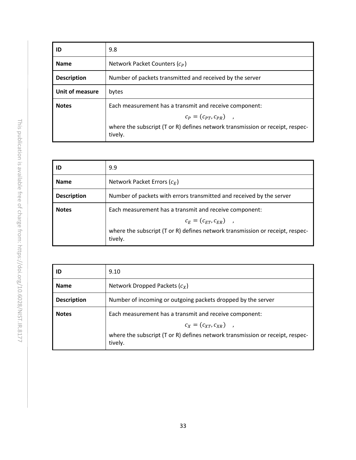| ID                     | 9.8                                                                                      |  |  |
|------------------------|------------------------------------------------------------------------------------------|--|--|
| <b>Name</b>            | Network Packet Counters $(c_p)$                                                          |  |  |
| <b>Description</b>     | Number of packets transmitted and received by the server                                 |  |  |
| <b>Unit of measure</b> | bytes                                                                                    |  |  |
| <b>Notes</b>           | Each measurement has a transmit and receive component:                                   |  |  |
|                        | $c_P = (c_{PT}, c_{PR})$ ,                                                               |  |  |
|                        | where the subscript (T or R) defines network transmission or receipt, respec-<br>tively. |  |  |

| ID                 | 9.9                                                                                      |  |  |
|--------------------|------------------------------------------------------------------------------------------|--|--|
| <b>Name</b>        | Network Packet Errors $(c_F)$                                                            |  |  |
| <b>Description</b> | Number of packets with errors transmitted and received by the server                     |  |  |
| <b>Notes</b>       | Each measurement has a transmit and receive component:                                   |  |  |
|                    | $c_F = (c_{ET}, c_{FR})$ ,                                                               |  |  |
|                    | where the subscript (T or R) defines network transmission or receipt, respec-<br>tively. |  |  |

| ID                 | 9.10                                                                                     |  |  |
|--------------------|------------------------------------------------------------------------------------------|--|--|
| <b>Name</b>        | Network Dropped Packets $(c_x)$                                                          |  |  |
| <b>Description</b> | Number of incoming or outgoing packets dropped by the server                             |  |  |
| <b>Notes</b>       | Each measurement has a transmit and receive component:                                   |  |  |
|                    | $c_X = (c_{XT}, c_{XR})$ ,                                                               |  |  |
|                    | where the subscript (T or R) defines network transmission or receipt, respec-<br>tively. |  |  |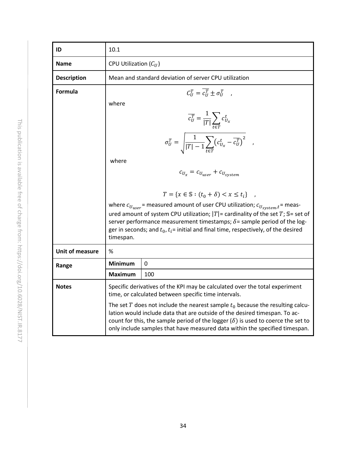| ID                     | 10.1                                                                                                                                                                                                                                                                                                                                     |                                                          |  |  |  |
|------------------------|------------------------------------------------------------------------------------------------------------------------------------------------------------------------------------------------------------------------------------------------------------------------------------------------------------------------------------------|----------------------------------------------------------|--|--|--|
| <b>Name</b>            | CPU Utilization $(C_{II})$                                                                                                                                                                                                                                                                                                               |                                                          |  |  |  |
| <b>Description</b>     | Mean and standard deviation of server CPU utilization                                                                                                                                                                                                                                                                                    |                                                          |  |  |  |
| Formula                | $C_{II}^T = \overline{C_{II}^T} \pm \sigma_{II}^T$ ,                                                                                                                                                                                                                                                                                     |                                                          |  |  |  |
|                        | where                                                                                                                                                                                                                                                                                                                                    |                                                          |  |  |  |
|                        | $\overline{c_U^T} = \frac{1}{ T } \sum_{t \in T} c_{U_x}^t$                                                                                                                                                                                                                                                                              |                                                          |  |  |  |
|                        | $\sigma_U^T = \sqrt{\frac{1}{ T -1} \sum_{t \in T} \left( c_{U_x}^t - \overline{c_U^T} \right)^2} \quad ,$                                                                                                                                                                                                                               |                                                          |  |  |  |
|                        | where                                                                                                                                                                                                                                                                                                                                    |                                                          |  |  |  |
|                        |                                                                                                                                                                                                                                                                                                                                          | $c_{U_x} = c_{U_{user}} + c_{U_{system}}$                |  |  |  |
|                        |                                                                                                                                                                                                                                                                                                                                          |                                                          |  |  |  |
|                        |                                                                                                                                                                                                                                                                                                                                          | $T = \{x \in \mathbb{S} : (t_0 + \delta) < x \leq t_i\}$ |  |  |  |
|                        | where $c_{U_{user}}$ = measured amount of user CPU utilization; $c_{U_{system}}t$ = meas-<br>ured amount of system CPU utilization; $ T $ = cardinality of the set T; S= set of<br>server performance measurement timestamps; $\delta$ = sample period of the log-                                                                       |                                                          |  |  |  |
|                        | ger in seconds; and $t_0$ , $t_i$ = initial and final time, respectively, of the desired<br>timespan.                                                                                                                                                                                                                                    |                                                          |  |  |  |
| <b>Unit of measure</b> | ℅                                                                                                                                                                                                                                                                                                                                        |                                                          |  |  |  |
| Range                  | <b>Minimum</b>                                                                                                                                                                                                                                                                                                                           | $\mathbf{0}$                                             |  |  |  |
|                        | <b>Maximum</b>                                                                                                                                                                                                                                                                                                                           | 100                                                      |  |  |  |
| <b>Notes</b>           | Specific derivatives of the KPI may be calculated over the total experiment<br>time, or calculated between specific time intervals.                                                                                                                                                                                                      |                                                          |  |  |  |
|                        | The set T does not include the nearest sample $t_0$ because the resulting calcu-<br>lation would include data that are outside of the desired timespan. To ac-<br>count for this, the sample period of the logger $(\delta)$ is used to coerce the set to<br>only include samples that have measured data within the specified timespan. |                                                          |  |  |  |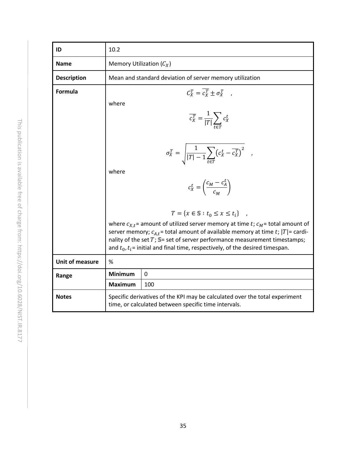| ID                     | 10.2                                                                                                                                                                                                                                                                                                                                                           |                                                                   |  |  |
|------------------------|----------------------------------------------------------------------------------------------------------------------------------------------------------------------------------------------------------------------------------------------------------------------------------------------------------------------------------------------------------------|-------------------------------------------------------------------|--|--|
| <b>Name</b>            | Memory Utilization $(C_X)$                                                                                                                                                                                                                                                                                                                                     |                                                                   |  |  |
| <b>Description</b>     | Mean and standard deviation of server memory utilization                                                                                                                                                                                                                                                                                                       |                                                                   |  |  |
| Formula                | $C_x^T = \overline{c_x^T} \pm \sigma_x^T$ ,                                                                                                                                                                                                                                                                                                                    |                                                                   |  |  |
|                        | where                                                                                                                                                                                                                                                                                                                                                          |                                                                   |  |  |
|                        |                                                                                                                                                                                                                                                                                                                                                                | $\overline{c_X^T} = \frac{1}{ T } \sum_{t \in \mathcal{T}} c_X^t$ |  |  |
|                        | $\sigma_X^T = \sqrt{\frac{1}{ T  - 1} \sum_{t \in T} (c_X^t - \overline{c_X^T})^2}$ ,                                                                                                                                                                                                                                                                          |                                                                   |  |  |
|                        | where<br>$c_X^t = \left(\frac{c_M - c_A^t}{c_M}\right)$                                                                                                                                                                                                                                                                                                        |                                                                   |  |  |
|                        | $T = \{x \in \mathbb{S} : t_0 \le x \le t_i\}$                                                                                                                                                                                                                                                                                                                 |                                                                   |  |  |
|                        | where $c_{X,t}$ = amount of utilized server memory at time t; $c_M$ = total amount of<br>server memory; $c_{A,t}$ = total amount of available memory at time t;  T  = cardi-<br>nality of the set $T$ ; $\mathbb{S}$ = set of server performance measurement timestamps;<br>and $t_0$ , $t_i$ = initial and final time, respectively, of the desired timespan. |                                                                   |  |  |
| <b>Unit of measure</b> | %                                                                                                                                                                                                                                                                                                                                                              |                                                                   |  |  |
| Range                  | <b>Minimum</b>                                                                                                                                                                                                                                                                                                                                                 | $\mathbf 0$                                                       |  |  |
|                        | <b>Maximum</b>                                                                                                                                                                                                                                                                                                                                                 | 100                                                               |  |  |
| <b>Notes</b>           | Specific derivatives of the KPI may be calculated over the total experiment<br>time, or calculated between specific time intervals.                                                                                                                                                                                                                            |                                                                   |  |  |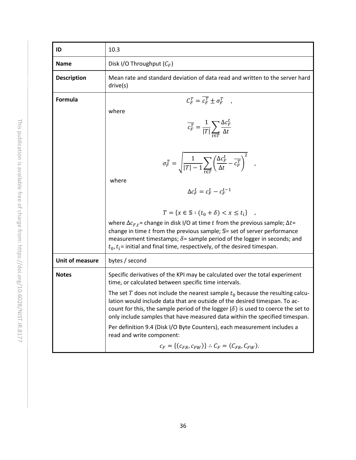| ID                     | 10.3                                                                                                                                                                                                                                                                                                                                                                                |
|------------------------|-------------------------------------------------------------------------------------------------------------------------------------------------------------------------------------------------------------------------------------------------------------------------------------------------------------------------------------------------------------------------------------|
| <b>Name</b>            | Disk I/O Throughput $(C_F)$                                                                                                                                                                                                                                                                                                                                                         |
| <b>Description</b>     | Mean rate and standard deviation of data read and written to the server hard<br>drive(s)                                                                                                                                                                                                                                                                                            |
| <b>Formula</b>         | $C_F^T = \overline{c_F^T} \pm \sigma_F^T$ ,<br>where<br>$\overline{c_F^T} = \frac{1}{ T } \sum_{\Delta t} \frac{\Delta c_F^L}{\Delta t}$<br>$\sigma_F^T = \sqrt{\frac{1}{ T -1} \sum_{t=1}^{T} \left(\frac{\Delta c_F^t}{\Delta t} - \overline{c_F^T}\right)^2} \quad ,$<br>where<br>$\Delta c_F^t = c_F^t - c_F^{t-1}$<br>$T = \{x \in \mathbb{S} : (t_0 + \delta) < x \leq t_i\}$ |
|                        | where $\Delta c_{F,t}$ = change in disk I/O at time t from the previous sample; $\Delta t$ =<br>change in time $t$ from the previous sample; $\mathbb{S}$ = set of server performance<br>measurement timestamps; $\delta$ = sample period of the logger in seconds; and<br>$t_0$ , $t_i$ = initial and final time, respectively, of the desired timespan.                           |
| <b>Unit of measure</b> | bytes / second                                                                                                                                                                                                                                                                                                                                                                      |
| <b>Notes</b>           | Specific derivatives of the KPI may be calculated over the total experiment<br>time, or calculated between specific time intervals.                                                                                                                                                                                                                                                 |
|                        | The set T does not include the nearest sample $t_0$ because the resulting calcu-<br>lation would include data that are outside of the desired timespan. To ac-<br>count for this, the sample period of the logger $(\delta)$ is used to coerce the set to<br>only include samples that have measured data within the specified timespan.                                            |
|                        | Per definition 9.4 (Disk I/O Byte Counters), each measurement includes a<br>read and write component:                                                                                                                                                                                                                                                                               |
|                        | $c_F = \{(c_{FR}, c_{FW})\}$ : $C_F = (C_{FR}, C_{FW})$ .                                                                                                                                                                                                                                                                                                                           |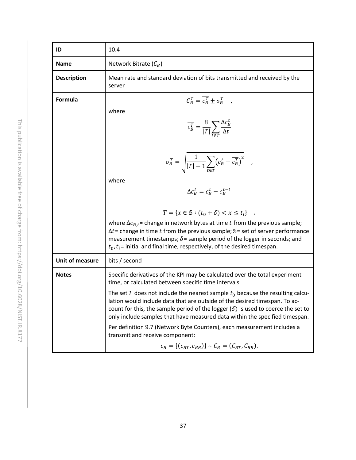| ID                 | 10.4                                                                                                                                                                                                                                                                                                                                                                                                          |
|--------------------|---------------------------------------------------------------------------------------------------------------------------------------------------------------------------------------------------------------------------------------------------------------------------------------------------------------------------------------------------------------------------------------------------------------|
| <b>Name</b>        | Network Bitrate $(C_B)$                                                                                                                                                                                                                                                                                                                                                                                       |
| <b>Description</b> | Mean rate and standard deviation of bits transmitted and received by the<br>server                                                                                                                                                                                                                                                                                                                            |
| <b>Formula</b>     | $C_R^T = \overline{c_R^T} \pm \sigma_R^T$ ,<br>where<br>$\overline{c_B^T} = \frac{8}{ T } \sum_{t \in T} \frac{\Delta c_B^t}{\Delta t}$<br>$\sigma_B^T = \sqrt{\frac{1}{ T -1} \sum_{t \in T} (c_B^t - \overline{c_B^T})^2} \quad ,$<br>where<br>$\Delta c_R^t = c_R^t - c_R^{t-1}$                                                                                                                           |
|                    | $T = \{x \in \mathbb{S} : (t_0 + \delta) < x \leq t_i\}$<br>where $\Delta c_{B,t}$ = change in network bytes at time t from the previous sample;<br>$\Delta t$ = change in time t from the previous sample; S = set of server performance<br>measurement timestamps; $\delta$ = sample period of the logger in seconds; and<br>$t_0$ , $t_i$ = initial and final time, respectively, of the desired timespan. |
| Unit of measure    | bits / second                                                                                                                                                                                                                                                                                                                                                                                                 |
| <b>Notes</b>       | Specific derivatives of the KPI may be calculated over the total experiment<br>time, or calculated between specific time intervals.                                                                                                                                                                                                                                                                           |
|                    | The set T does not include the nearest sample $t_0$ because the resulting calcu-<br>lation would include data that are outside of the desired timespan. To ac-<br>count for this, the sample period of the logger $(\delta)$ is used to coerce the set to<br>only include samples that have measured data within the specified timespan.                                                                      |
|                    | Per definition 9.7 (Network Byte Counters), each measurement includes a<br>transmit and receive component:                                                                                                                                                                                                                                                                                                    |
|                    | $c_B = \{(c_{BT}, c_{BR})\}$ : $C_B = (C_{BT}, C_{BR})$ .                                                                                                                                                                                                                                                                                                                                                     |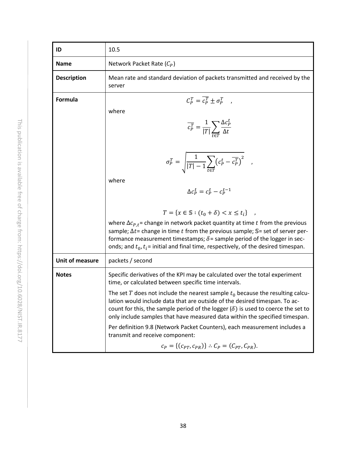| ID                     | 10.5                                                                                                                                                                                                                                                                                                                                                                                                                                                                                                                                         |
|------------------------|----------------------------------------------------------------------------------------------------------------------------------------------------------------------------------------------------------------------------------------------------------------------------------------------------------------------------------------------------------------------------------------------------------------------------------------------------------------------------------------------------------------------------------------------|
| <b>Name</b>            | Network Packet Rate $(C_P)$                                                                                                                                                                                                                                                                                                                                                                                                                                                                                                                  |
| <b>Description</b>     | Mean rate and standard deviation of packets transmitted and received by the<br>server                                                                                                                                                                                                                                                                                                                                                                                                                                                        |
| Formula                | $C_P^T = \overline{c_P^T} \pm \sigma_P^T$ ,<br>where<br>$\overline{c_P^T} = \frac{1}{ T } \sum_{t \in T} \frac{\Delta c_P^t}{\Delta t}$<br>$\sigma_P^T = \sqrt{\frac{1}{ T -1} \sum_{t \in T} (c_P^t - \overline{c_P^T})^2} \quad ,$<br>where<br>$\Delta c_P^t = c_P^t - c_P^{t-1}$<br>$T = \{x \in \mathbb{S} : (t_0 + \delta) < x \leq t_i\}$<br>where $\Delta c_{P,t}$ change in network packet quantity at time t from the previous<br>sample; $\Delta t$ = change in time t from the previous sample; $\mathbb{S}$ = set of server per- |
|                        | formance measurement timestamps; $\delta$ = sample period of the logger in sec-<br>onds; and $t_0, t_i$ = initial and final time, respectively, of the desired timespan.                                                                                                                                                                                                                                                                                                                                                                     |
| <b>Unit of measure</b> | packets / second                                                                                                                                                                                                                                                                                                                                                                                                                                                                                                                             |
| <b>Notes</b>           | Specific derivatives of the KPI may be calculated over the total experiment<br>time, or calculated between specific time intervals.                                                                                                                                                                                                                                                                                                                                                                                                          |
|                        | The set T does not include the nearest sample $t_0$ because the resulting calcu-<br>lation would include data that are outside of the desired timespan. To ac-<br>count for this, the sample period of the logger $(\delta)$ is used to coerce the set to<br>only include samples that have measured data within the specified timespan.                                                                                                                                                                                                     |
|                        | Per definition 9.8 (Network Packet Counters), each measurement includes a<br>transmit and receive component:                                                                                                                                                                                                                                                                                                                                                                                                                                 |
|                        | $c_P = \{(c_{PT}, c_{PR})\}$ : $C_P = (C_{PT}, C_{PR})$ .                                                                                                                                                                                                                                                                                                                                                                                                                                                                                    |